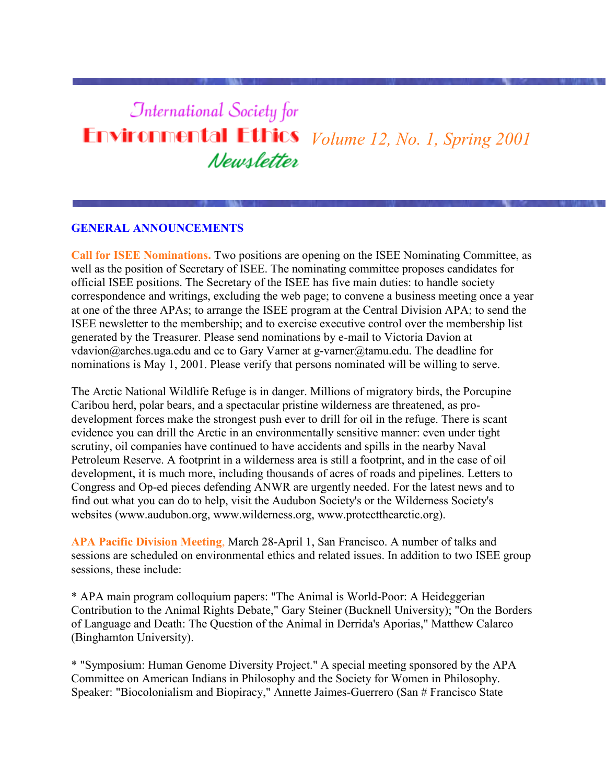# *<u>International Society</u>* for **Environmental Ethics** *Volume 12, No. 1, Spring 2001* Newsletter

# **GENERAL ANNOUNCEMENTS**

**Call for ISEE Nominations.** Two positions are opening on the ISEE Nominating Committee, as well as the position of Secretary of ISEE. The nominating committee proposes candidates for official ISEE positions. The Secretary of the ISEE has five main duties: to handle society correspondence and writings, excluding the web page; to convene a business meeting once a year at one of the three APAs; to arrange the ISEE program at the Central Division APA; to send the ISEE newsletter to the membership; and to exercise executive control over the membership list generated by the Treasurer. Please send nominations by e-mail to Victoria Davion at vdavion@arches.uga.edu and cc to Gary Varner at g-varner@tamu.edu. The deadline for nominations is May 1, 2001. Please verify that persons nominated will be willing to serve.

The Arctic National Wildlife Refuge is in danger. Millions of migratory birds, the Porcupine Caribou herd, polar bears, and a spectacular pristine wilderness are threatened, as prodevelopment forces make the strongest push ever to drill for oil in the refuge. There is scant evidence you can drill the Arctic in an environmentally sensitive manner: even under tight scrutiny, oil companies have continued to have accidents and spills in the nearby Naval Petroleum Reserve. A footprint in a wilderness area is still a footprint, and in the case of oil development, it is much more, including thousands of acres of roads and pipelines. Letters to Congress and Op-ed pieces defending ANWR are urgently needed. For the latest news and to find out what you can do to help, visit the Audubon Society's or the Wilderness Society's websites (www.audubon.org, www.wilderness.org, www.protectthearctic.org).

**APA Pacific Division Meeting**, March 28-April 1, San Francisco. A number of talks and sessions are scheduled on environmental ethics and related issues. In addition to two ISEE group sessions, these include:

\* APA main program colloquium papers: "The Animal is World-Poor: A Heideggerian Contribution to the Animal Rights Debate," Gary Steiner (Bucknell University); "On the Borders of Language and Death: The Question of the Animal in Derrida's Aporias," Matthew Calarco (Binghamton University).

\* "Symposium: Human Genome Diversity Project." A special meeting sponsored by the APA Committee on American Indians in Philosophy and the Society for Women in Philosophy. Speaker: "Biocolonialism and Biopiracy," Annette Jaimes-Guerrero (San # Francisco State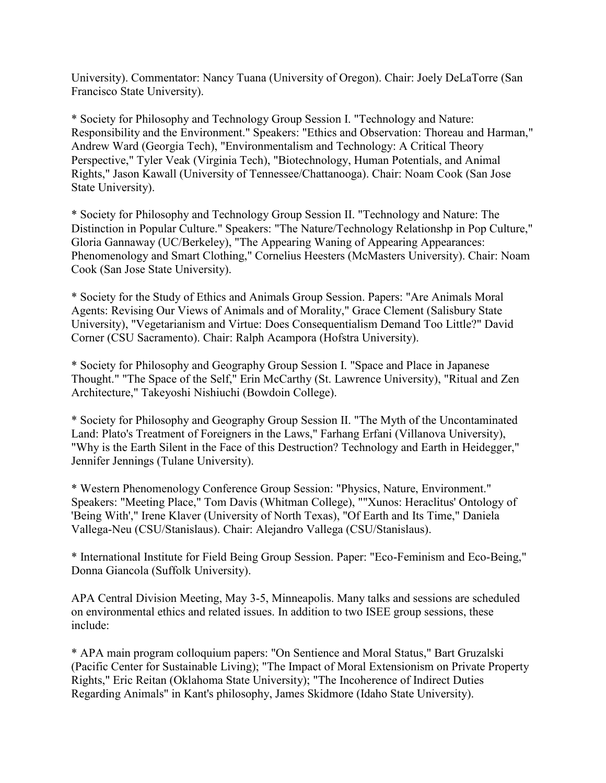University). Commentator: Nancy Tuana (University of Oregon). Chair: Joely DeLaTorre (San Francisco State University).

\* Society for Philosophy and Technology Group Session I. "Technology and Nature: Responsibility and the Environment." Speakers: "Ethics and Observation: Thoreau and Harman," Andrew Ward (Georgia Tech), "Environmentalism and Technology: A Critical Theory Perspective," Tyler Veak (Virginia Tech), "Biotechnology, Human Potentials, and Animal Rights," Jason Kawall (University of Tennessee/Chattanooga). Chair: Noam Cook (San Jose State University).

\* Society for Philosophy and Technology Group Session II. "Technology and Nature: The Distinction in Popular Culture." Speakers: "The Nature/Technology Relationshp in Pop Culture," Gloria Gannaway (UC/Berkeley), "The Appearing Waning of Appearing Appearances: Phenomenology and Smart Clothing," Cornelius Heesters (McMasters University). Chair: Noam Cook (San Jose State University).

\* Society for the Study of Ethics and Animals Group Session. Papers: "Are Animals Moral Agents: Revising Our Views of Animals and of Morality," Grace Clement (Salisbury State University), "Vegetarianism and Virtue: Does Consequentialism Demand Too Little?" David Corner (CSU Sacramento). Chair: Ralph Acampora (Hofstra University).

\* Society for Philosophy and Geography Group Session I. "Space and Place in Japanese Thought." "The Space of the Self," Erin McCarthy (St. Lawrence University), "Ritual and Zen Architecture," Takeyoshi Nishiuchi (Bowdoin College).

\* Society for Philosophy and Geography Group Session II. "The Myth of the Uncontaminated Land: Plato's Treatment of Foreigners in the Laws," Farhang Erfani (Villanova University), "Why is the Earth Silent in the Face of this Destruction? Technology and Earth in Heidegger," Jennifer Jennings (Tulane University).

\* Western Phenomenology Conference Group Session: "Physics, Nature, Environment." Speakers: "Meeting Place," Tom Davis (Whitman College), ""Xunos: Heraclitus' Ontology of 'Being With'," Irene Klaver (University of North Texas), "Of Earth and Its Time," Daniela Vallega-Neu (CSU/Stanislaus). Chair: Alejandro Vallega (CSU/Stanislaus).

\* International Institute for Field Being Group Session. Paper: "Eco-Feminism and Eco-Being," Donna Giancola (Suffolk University).

APA Central Division Meeting, May 3-5, Minneapolis. Many talks and sessions are scheduled on environmental ethics and related issues. In addition to two ISEE group sessions, these include:

\* APA main program colloquium papers: "On Sentience and Moral Status," Bart Gruzalski (Pacific Center for Sustainable Living); "The Impact of Moral Extensionism on Private Property Rights," Eric Reitan (Oklahoma State University); "The Incoherence of Indirect Duties Regarding Animals" in Kant's philosophy, James Skidmore (Idaho State University).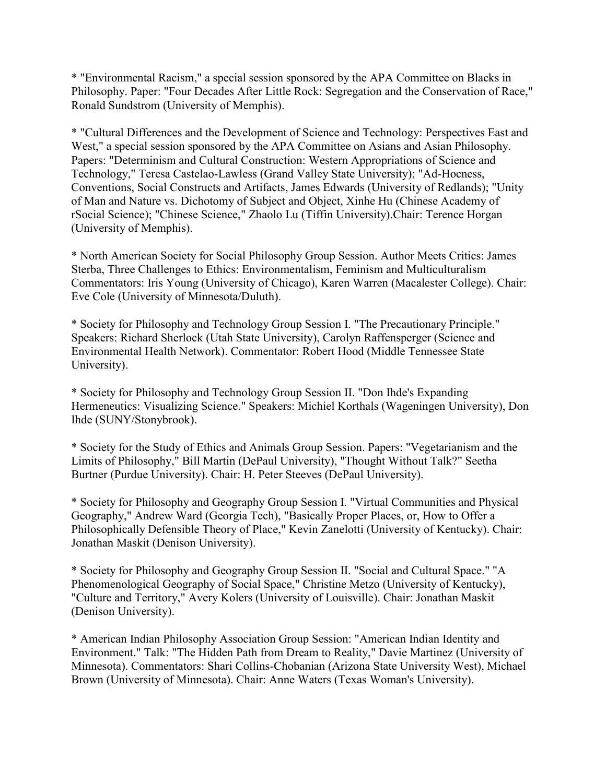\* "Environmental Racism," a special session sponsored by the APA Committee on Blacks in Philosophy. Paper: "Four Decades After Little Rock: Segregation and the Conservation of Race," Ronald Sundstrom (University of Memphis).

\* "Cultural Differences and the Development of Science and Technology: Perspectives East and West," a special session sponsored by the APA Committee on Asians and Asian Philosophy. Papers: "Determinism and Cultural Construction: Western Appropriations of Science and Technology," Teresa Castelao-Lawless (Grand Valley State University); "Ad-Hocness, Conventions, Social Constructs and Artifacts, James Edwards (University of Redlands); "Unity of Man and Nature vs. Dichotomy of Subject and Object, Xinhe Hu (Chinese Academy of rSocial Science); "Chinese Science," Zhaolo Lu (Tiffin University).Chair: Terence Horgan (University of Memphis).

\* North American Society for Social Philosophy Group Session. Author Meets Critics: James Sterba, Three Challenges to Ethics: Environmentalism, Feminism and Multiculturalism Commentators: Iris Young (University of Chicago), Karen Warren (Macalester College). Chair: Eve Cole (University of Minnesota/Duluth).

\* Society for Philosophy and Technology Group Session I. "The Precautionary Principle." Speakers: Richard Sherlock (Utah State University), Carolyn Raffensperger (Science and Environmental Health Network). Commentator: Robert Hood (Middle Tennessee State University).

\* Society for Philosophy and Technology Group Session II. "Don Ihde's Expanding Hermeneutics: Visualizing Science." Speakers: Michiel Korthals (Wageningen University), Don Ihde (SUNY/Stonybrook).

\* Society for the Study of Ethics and Animals Group Session. Papers: "Vegetarianism and the Limits of Philosophy," Bill Martin (DePaul University), "Thought Without Talk?" Seetha Burtner (Purdue University). Chair: H. Peter Steeves (DePaul University).

\* Society for Philosophy and Geography Group Session I. "Virtual Communities and Physical Geography," Andrew Ward (Georgia Tech), "Basically Proper Places, or, How to Offer a Philosophically Defensible Theory of Place," Kevin Zanelotti (University of Kentucky). Chair: Jonathan Maskit (Denison University).

\* Society for Philosophy and Geography Group Session II. "Social and Cultural Space." "A Phenomenological Geography of Social Space," Christine Metzo (University of Kentucky), "Culture and Territory," Avery Kolers (University of Louisville). Chair: Jonathan Maskit (Denison University).

\* American Indian Philosophy Association Group Session: "American Indian Identity and Environment." Talk: "The Hidden Path from Dream to Reality," Davie Martinez (University of Minnesota). Commentators: Shari Collins-Chobanian (Arizona State University West), Michael Brown (University of Minnesota). Chair: Anne Waters (Texas Woman's University).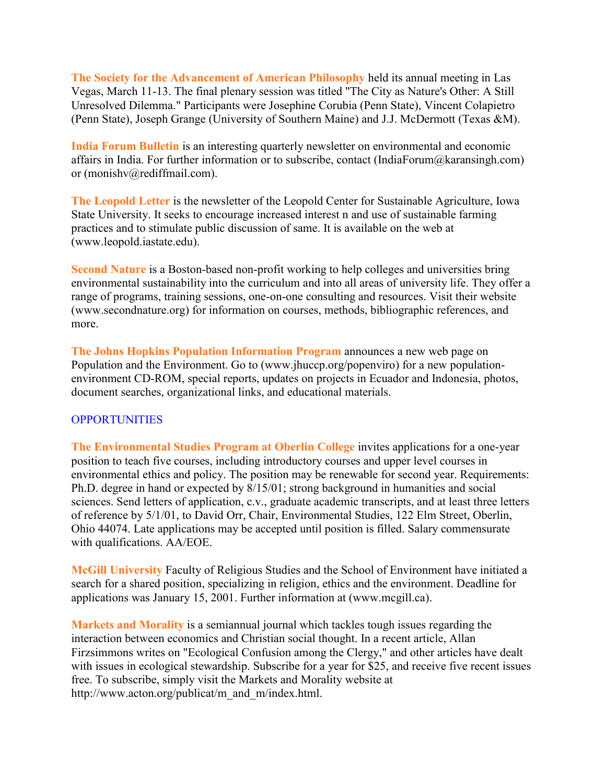**The Society for the Advancement of American Philosophy** held its annual meeting in Las Vegas, March 11-13. The final plenary session was titled "The City as Nature's Other: A Still Unresolved Dilemma." Participants were Josephine Corubia (Penn State), Vincent Colapietro (Penn State), Joseph Grange (University of Southern Maine) and J.J. McDermott (Texas &M).

**India Forum Bulletin** is an interesting quarterly newsletter on environmental and economic affairs in India. For further information or to subscribe, contact (IndiaForum@karansingh.com) or (monishv@rediffmail.com).

**The Leopold Letter** is the newsletter of the Leopold Center for Sustainable Agriculture, Iowa State University. It seeks to encourage increased interest n and use of sustainable farming practices and to stimulate public discussion of same. It is available on the web at (www.leopold.iastate.edu).

**Second Nature** is a Boston-based non-profit working to help colleges and universities bring environmental sustainability into the curriculum and into all areas of university life. They offer a range of programs, training sessions, one-on-one consulting and resources. Visit their website (www.secondnature.org) for information on courses, methods, bibliographic references, and more.

**The Johns Hopkins Population Information Program** announces a new web page on Population and the Environment. Go to (www.jhuccp.org/popenviro) for a new populationenvironment CD-ROM, special reports, updates on projects in Ecuador and Indonesia, photos, document searches, organizational links, and educational materials.

# **OPPORTUNITIES**

**The Environmental Studies Program at Oberlin College** invites applications for a one-year position to teach five courses, including introductory courses and upper level courses in environmental ethics and policy. The position may be renewable for second year. Requirements: Ph.D. degree in hand or expected by 8/15/01; strong background in humanities and social sciences. Send letters of application, c.v., graduate academic transcripts, and at least three letters of reference by 5/1/01, to David Orr, Chair, Environmental Studies, 122 Elm Street, Oberlin, Ohio 44074. Late applications may be accepted until position is filled. Salary commensurate with qualifications. AA/EOE.

**McGill University** Faculty of Religious Studies and the School of Environment have initiated a search for a shared position, specializing in religion, ethics and the environment. Deadline for applications was January 15, 2001. Further information at (www.mcgill.ca).

**Markets and Morality** is a semiannual journal which tackles tough issues regarding the interaction between economics and Christian social thought. In a recent article, Allan Firzsimmons writes on "Ecological Confusion among the Clergy," and other articles have dealt with issues in ecological stewardship. Subscribe for a year for \$25, and receive five recent issues free. To subscribe, simply visit the Markets and Morality website at http://www.acton.org/publicat/m\_and\_m/index.html.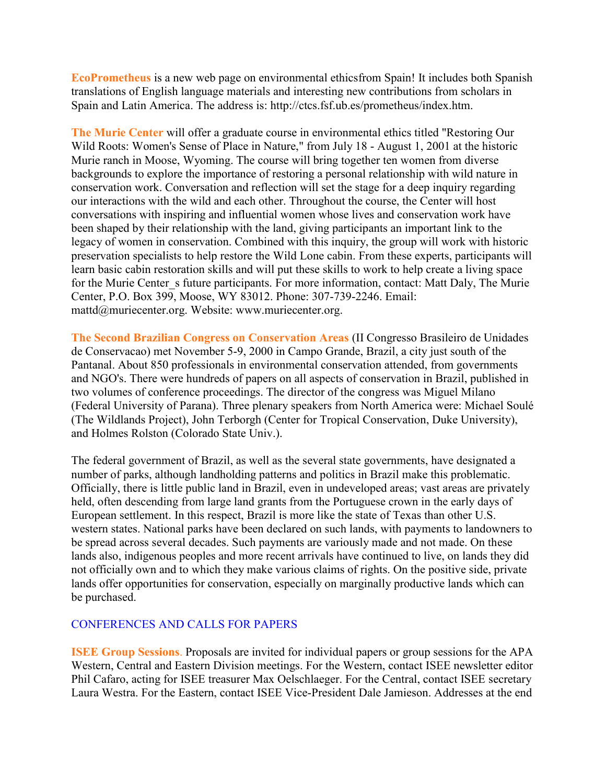**EcoPrometheus** is a new web page on environmental ethicsfrom Spain! It includes both Spanish translations of English language materials and interesting new contributions from scholars in Spain and Latin America. The address is: http://ctcs.fsf.ub.es/prometheus/index.htm.

**The Murie Center** will offer a graduate course in environmental ethics titled "Restoring Our Wild Roots: Women's Sense of Place in Nature," from July 18 - August 1, 2001 at the historic Murie ranch in Moose, Wyoming. The course will bring together ten women from diverse backgrounds to explore the importance of restoring a personal relationship with wild nature in conservation work. Conversation and reflection will set the stage for a deep inquiry regarding our interactions with the wild and each other. Throughout the course, the Center will host conversations with inspiring and influential women whose lives and conservation work have been shaped by their relationship with the land, giving participants an important link to the legacy of women in conservation. Combined with this inquiry, the group will work with historic preservation specialists to help restore the Wild Lone cabin. From these experts, participants will learn basic cabin restoration skills and will put these skills to work to help create a living space for the Murie Center s future participants. For more information, contact: Matt Daly, The Murie Center, P.O. Box 399, Moose, WY 83012. Phone: 307-739-2246. Email: mattd@muriecenter.org. Website: www.muriecenter.org.

**The Second Brazilian Congress on Conservation Areas** (II Congresso Brasileiro de Unidades de Conservacao) met November 5-9, 2000 in Campo Grande, Brazil, a city just south of the Pantanal. About 850 professionals in environmental conservation attended, from governments and NGO's. There were hundreds of papers on all aspects of conservation in Brazil, published in two volumes of conference proceedings. The director of the congress was Miguel Milano (Federal University of Parana). Three plenary speakers from North America were: Michael Soulé (The Wildlands Project), John Terborgh (Center for Tropical Conservation, Duke University), and Holmes Rolston (Colorado State Univ.).

The federal government of Brazil, as well as the several state governments, have designated a number of parks, although landholding patterns and politics in Brazil make this problematic. Officially, there is little public land in Brazil, even in undeveloped areas; vast areas are privately held, often descending from large land grants from the Portuguese crown in the early days of European settlement. In this respect, Brazil is more like the state of Texas than other U.S. western states. National parks have been declared on such lands, with payments to landowners to be spread across several decades. Such payments are variously made and not made. On these lands also, indigenous peoples and more recent arrivals have continued to live, on lands they did not officially own and to which they make various claims of rights. On the positive side, private lands offer opportunities for conservation, especially on marginally productive lands which can be purchased.

# CONFERENCES AND CALLS FOR PAPERS

**ISEE Group Sessions**. Proposals are invited for individual papers or group sessions for the APA Western, Central and Eastern Division meetings. For the Western, contact ISEE newsletter editor Phil Cafaro, acting for ISEE treasurer Max Oelschlaeger. For the Central, contact ISEE secretary Laura Westra. For the Eastern, contact ISEE Vice-President Dale Jamieson. Addresses at the end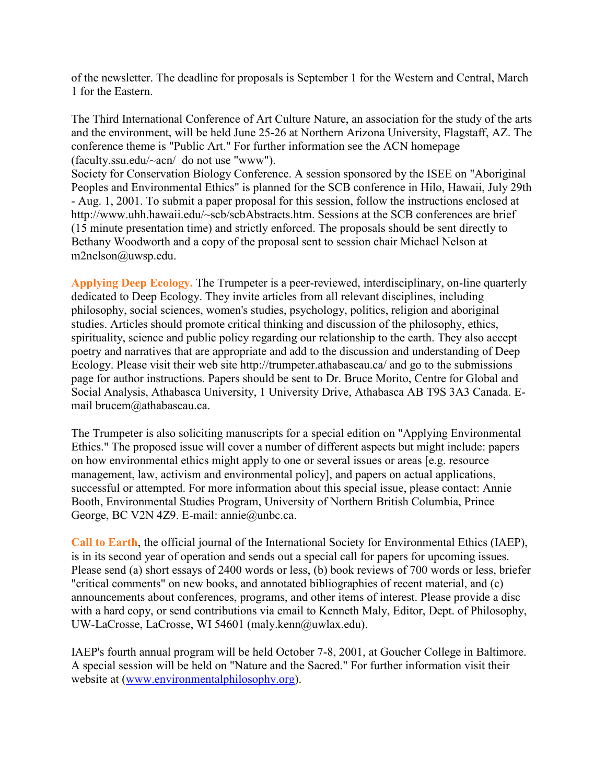of the newsletter. The deadline for proposals is September 1 for the Western and Central, March 1 for the Eastern.

The Third International Conference of Art Culture Nature, an association for the study of the arts and the environment, will be held June 25-26 at Northern Arizona University, Flagstaff, AZ. The conference theme is "Public Art." For further information see the ACN homepage (faculty.ssu.edu/~acn/ do not use "www").

Society for Conservation Biology Conference. A session sponsored by the ISEE on "Aboriginal Peoples and Environmental Ethics" is planned for the SCB conference in Hilo, Hawaii, July 29th - Aug. 1, 2001. To submit a paper proposal for this session, follow the instructions enclosed at http://www.uhh.hawaii.edu/~scb/scbAbstracts.htm. Sessions at the SCB conferences are brief (15 minute presentation time) and strictly enforced. The proposals should be sent directly to Bethany Woodworth and a copy of the proposal sent to session chair Michael Nelson at m2nelson@uwsp.edu.

**Applying Deep Ecology.** The Trumpeter is a peer-reviewed, interdisciplinary, on-line quarterly dedicated to Deep Ecology. They invite articles from all relevant disciplines, including philosophy, social sciences, women's studies, psychology, politics, religion and aboriginal studies. Articles should promote critical thinking and discussion of the philosophy, ethics, spirituality, science and public policy regarding our relationship to the earth. They also accept poetry and narratives that are appropriate and add to the discussion and understanding of Deep Ecology. Please visit their web site http://trumpeter.athabascau.ca/ and go to the submissions page for author instructions. Papers should be sent to Dr. Bruce Morito, Centre for Global and Social Analysis, Athabasca University, 1 University Drive, Athabasca AB T9S 3A3 Canada. Email brucem@athabascau.ca.

The Trumpeter is also soliciting manuscripts for a special edition on "Applying Environmental Ethics." The proposed issue will cover a number of different aspects but might include: papers on how environmental ethics might apply to one or several issues or areas [e.g. resource management, law, activism and environmental policy], and papers on actual applications, successful or attempted. For more information about this special issue, please contact: Annie Booth, Environmental Studies Program, University of Northern British Columbia, Prince George, BC V2N 4Z9. E-mail: annie@unbc.ca.

**Call to Earth**, the official journal of the International Society for Environmental Ethics (IAEP), is in its second year of operation and sends out a special call for papers for upcoming issues. Please send (a) short essays of 2400 words or less, (b) book reviews of 700 words or less, briefer "critical comments" on new books, and annotated bibliographies of recent material, and (c) announcements about conferences, programs, and other items of interest. Please provide a disc with a hard copy, or send contributions via email to Kenneth Maly, Editor, Dept. of Philosophy, UW-LaCrosse, LaCrosse, WI 54601 (maly.kenn@uwlax.edu).

IAEP's fourth annual program will be held October 7-8, 2001, at Goucher College in Baltimore. A special session will be held on "Nature and the Sacred." For further information visit their website at [\(www.environmentalphilosophy.org\)](http://www.environmentalphilosophy.org/).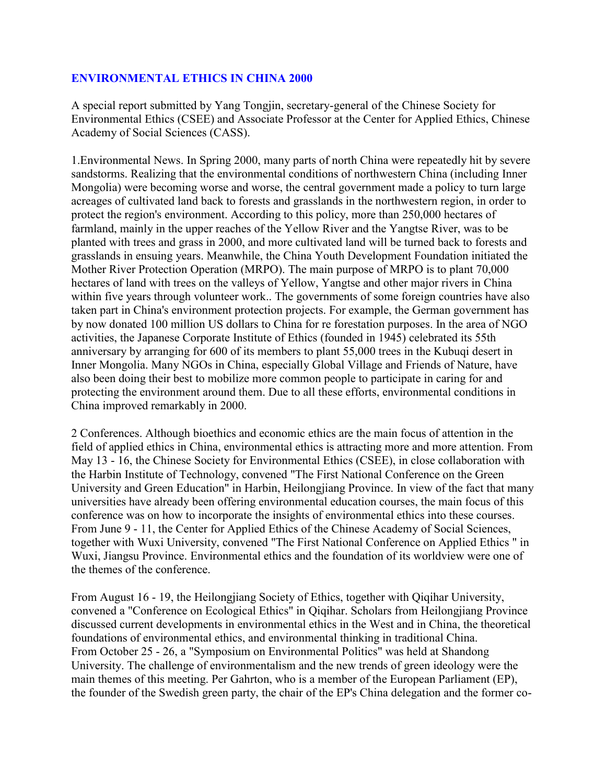#### **ENVIRONMENTAL ETHICS IN CHINA 2000**

A special report submitted by Yang Tongjin, secretary-general of the Chinese Society for Environmental Ethics (CSEE) and Associate Professor at the Center for Applied Ethics, Chinese Academy of Social Sciences (CASS).

1.Environmental News. In Spring 2000, many parts of north China were repeatedly hit by severe sandstorms. Realizing that the environmental conditions of northwestern China (including Inner Mongolia) were becoming worse and worse, the central government made a policy to turn large acreages of cultivated land back to forests and grasslands in the northwestern region, in order to protect the region's environment. According to this policy, more than 250,000 hectares of farmland, mainly in the upper reaches of the Yellow River and the Yangtse River, was to be planted with trees and grass in 2000, and more cultivated land will be turned back to forests and grasslands in ensuing years. Meanwhile, the China Youth Development Foundation initiated the Mother River Protection Operation (MRPO). The main purpose of MRPO is to plant 70,000 hectares of land with trees on the valleys of Yellow, Yangtse and other major rivers in China within five years through volunteer work.. The governments of some foreign countries have also taken part in China's environment protection projects. For example, the German government has by now donated 100 million US dollars to China for re forestation purposes. In the area of NGO activities, the Japanese Corporate Institute of Ethics (founded in 1945) celebrated its 55th anniversary by arranging for 600 of its members to plant 55,000 trees in the Kubuqi desert in Inner Mongolia. Many NGOs in China, especially Global Village and Friends of Nature, have also been doing their best to mobilize more common people to participate in caring for and protecting the environment around them. Due to all these efforts, environmental conditions in China improved remarkably in 2000.

2 Conferences. Although bioethics and economic ethics are the main focus of attention in the field of applied ethics in China, environmental ethics is attracting more and more attention. From May 13 - 16, the Chinese Society for Environmental Ethics (CSEE), in close collaboration with the Harbin Institute of Technology, convened "The First National Conference on the Green University and Green Education" in Harbin, Heilongjiang Province. In view of the fact that many universities have already been offering environmental education courses, the main focus of this conference was on how to incorporate the insights of environmental ethics into these courses. From June 9 - 11, the Center for Applied Ethics of the Chinese Academy of Social Sciences, together with Wuxi University, convened "The First National Conference on Applied Ethics " in Wuxi, Jiangsu Province. Environmental ethics and the foundation of its worldview were one of the themes of the conference.

From August 16 - 19, the Heilongjiang Society of Ethics, together with Qiqihar University, convened a "Conference on Ecological Ethics" in Qiqihar. Scholars from Heilongjiang Province discussed current developments in environmental ethics in the West and in China, the theoretical foundations of environmental ethics, and environmental thinking in traditional China. From October 25 - 26, a "Symposium on Environmental Politics" was held at Shandong University. The challenge of environmentalism and the new trends of green ideology were the main themes of this meeting. Per Gahrton, who is a member of the European Parliament (EP), the founder of the Swedish green party, the chair of the EP's China delegation and the former co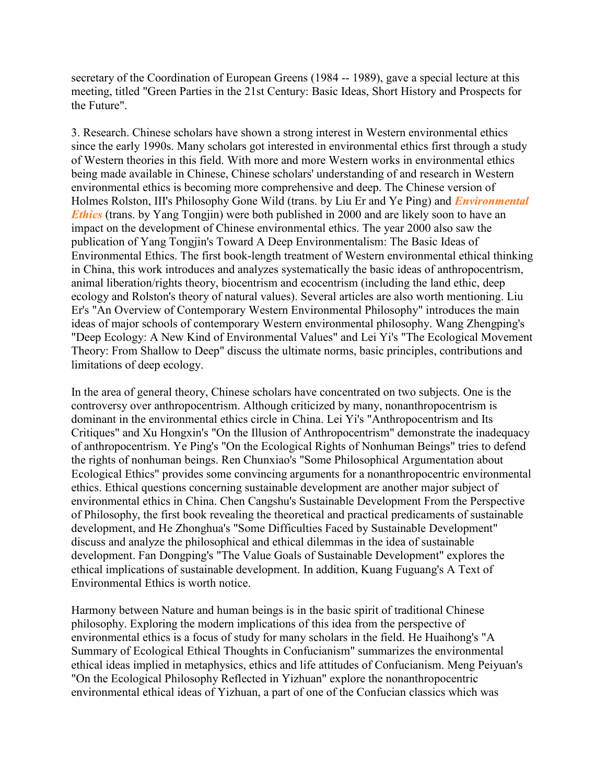secretary of the Coordination of European Greens (1984 -- 1989), gave a special lecture at this meeting, titled "Green Parties in the 21st Century: Basic Ideas, Short History and Prospects for the Future".

3. Research. Chinese scholars have shown a strong interest in Western environmental ethics since the early 1990s. Many scholars got interested in environmental ethics first through a study of Western theories in this field. With more and more Western works in environmental ethics being made available in Chinese, Chinese scholars' understanding of and research in Western environmental ethics is becoming more comprehensive and deep. The Chinese version of Holmes Rolston, III's Philosophy Gone Wild (trans. by Liu Er and Ye Ping) and *Environmental Ethics* (trans. by Yang Tongjin) were both published in 2000 and are likely soon to have an impact on the development of Chinese environmental ethics. The year 2000 also saw the publication of Yang Tongjin's Toward A Deep Environmentalism: The Basic Ideas of Environmental Ethics. The first book-length treatment of Western environmental ethical thinking in China, this work introduces and analyzes systematically the basic ideas of anthropocentrism, animal liberation/rights theory, biocentrism and ecocentrism (including the land ethic, deep ecology and Rolston's theory of natural values). Several articles are also worth mentioning. Liu Er's "An Overview of Contemporary Western Environmental Philosophy" introduces the main ideas of major schools of contemporary Western environmental philosophy. Wang Zhengping's "Deep Ecology: A New Kind of Environmental Values" and Lei Yi's "The Ecological Movement Theory: From Shallow to Deep" discuss the ultimate norms, basic principles, contributions and limitations of deep ecology.

In the area of general theory, Chinese scholars have concentrated on two subjects. One is the controversy over anthropocentrism. Although criticized by many, nonanthropocentrism is dominant in the environmental ethics circle in China. Lei Yi's "Anthropocentrism and Its Critiques" and Xu Hongxin's "On the Illusion of Anthropocentrism" demonstrate the inadequacy of anthropocentrism. Ye Ping's "On the Ecological Rights of Nonhuman Beings" tries to defend the rights of nonhuman beings. Ren Chunxiao's "Some Philosophical Argumentation about Ecological Ethics" provides some convincing arguments for a nonanthropocentric environmental ethics. Ethical questions concerning sustainable development are another major subject of environmental ethics in China. Chen Cangshu's Sustainable Development From the Perspective of Philosophy, the first book revealing the theoretical and practical predicaments of sustainable development, and He Zhonghua's "Some Difficulties Faced by Sustainable Development" discuss and analyze the philosophical and ethical dilemmas in the idea of sustainable development. Fan Dongping's "The Value Goals of Sustainable Development" explores the ethical implications of sustainable development. In addition, Kuang Fuguang's A Text of Environmental Ethics is worth notice.

Harmony between Nature and human beings is in the basic spirit of traditional Chinese philosophy. Exploring the modern implications of this idea from the perspective of environmental ethics is a focus of study for many scholars in the field. He Huaihong's "A Summary of Ecological Ethical Thoughts in Confucianism" summarizes the environmental ethical ideas implied in metaphysics, ethics and life attitudes of Confucianism. Meng Peiyuan's "On the Ecological Philosophy Reflected in Yizhuan" explore the nonanthropocentric environmental ethical ideas of Yizhuan, a part of one of the Confucian classics which was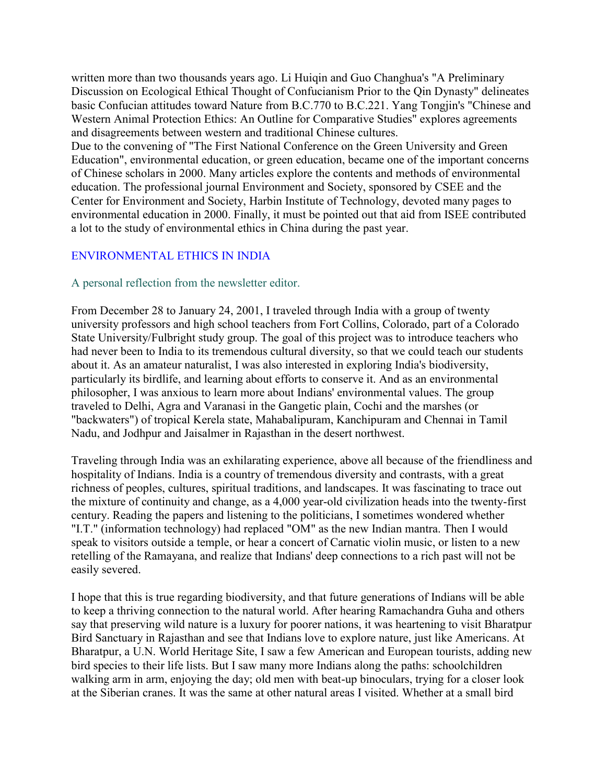written more than two thousands years ago. Li Huiqin and Guo Changhua's "A Preliminary Discussion on Ecological Ethical Thought of Confucianism Prior to the Qin Dynasty" delineates basic Confucian attitudes toward Nature from B.C.770 to B.C.221. Yang Tongjin's "Chinese and Western Animal Protection Ethics: An Outline for Comparative Studies" explores agreements and disagreements between western and traditional Chinese cultures.

Due to the convening of "The First National Conference on the Green University and Green Education", environmental education, or green education, became one of the important concerns of Chinese scholars in 2000. Many articles explore the contents and methods of environmental education. The professional journal Environment and Society, sponsored by CSEE and the Center for Environment and Society, Harbin Institute of Technology, devoted many pages to environmental education in 2000. Finally, it must be pointed out that aid from ISEE contributed a lot to the study of environmental ethics in China during the past year.

# ENVIRONMENTAL ETHICS IN INDIA

#### A personal reflection from the newsletter editor.

From December 28 to January 24, 2001, I traveled through India with a group of twenty university professors and high school teachers from Fort Collins, Colorado, part of a Colorado State University/Fulbright study group. The goal of this project was to introduce teachers who had never been to India to its tremendous cultural diversity, so that we could teach our students about it. As an amateur naturalist, I was also interested in exploring India's biodiversity, particularly its birdlife, and learning about efforts to conserve it. And as an environmental philosopher, I was anxious to learn more about Indians' environmental values. The group traveled to Delhi, Agra and Varanasi in the Gangetic plain, Cochi and the marshes (or "backwaters") of tropical Kerela state, Mahabalipuram, Kanchipuram and Chennai in Tamil Nadu, and Jodhpur and Jaisalmer in Rajasthan in the desert northwest.

Traveling through India was an exhilarating experience, above all because of the friendliness and hospitality of Indians. India is a country of tremendous diversity and contrasts, with a great richness of peoples, cultures, spiritual traditions, and landscapes. It was fascinating to trace out the mixture of continuity and change, as a 4,000 year-old civilization heads into the twenty-first century. Reading the papers and listening to the politicians, I sometimes wondered whether "I.T." (information technology) had replaced "OM" as the new Indian mantra. Then I would speak to visitors outside a temple, or hear a concert of Carnatic violin music, or listen to a new retelling of the Ramayana, and realize that Indians' deep connections to a rich past will not be easily severed.

I hope that this is true regarding biodiversity, and that future generations of Indians will be able to keep a thriving connection to the natural world. After hearing Ramachandra Guha and others say that preserving wild nature is a luxury for poorer nations, it was heartening to visit Bharatpur Bird Sanctuary in Rajasthan and see that Indians love to explore nature, just like Americans. At Bharatpur, a U.N. World Heritage Site, I saw a few American and European tourists, adding new bird species to their life lists. But I saw many more Indians along the paths: schoolchildren walking arm in arm, enjoying the day; old men with beat-up binoculars, trying for a closer look at the Siberian cranes. It was the same at other natural areas I visited. Whether at a small bird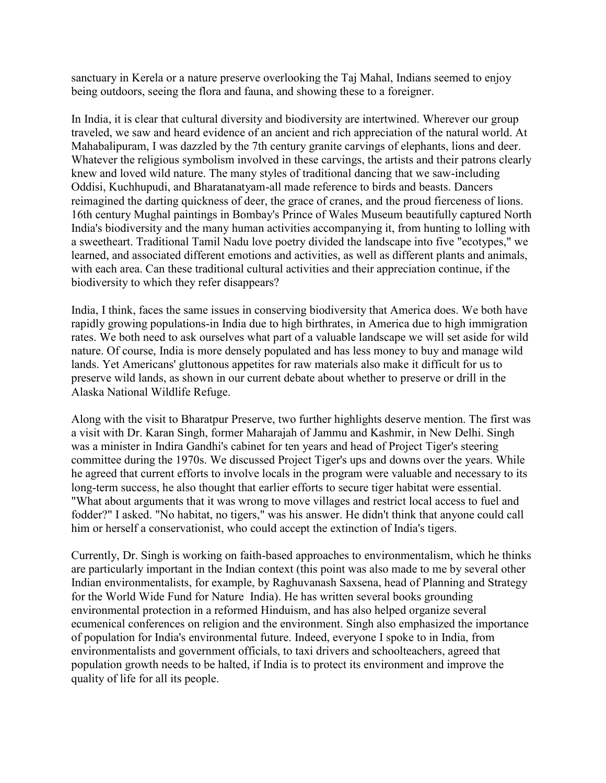sanctuary in Kerela or a nature preserve overlooking the Taj Mahal, Indians seemed to enjoy being outdoors, seeing the flora and fauna, and showing these to a foreigner.

In India, it is clear that cultural diversity and biodiversity are intertwined. Wherever our group traveled, we saw and heard evidence of an ancient and rich appreciation of the natural world. At Mahabalipuram, I was dazzled by the 7th century granite carvings of elephants, lions and deer. Whatever the religious symbolism involved in these carvings, the artists and their patrons clearly knew and loved wild nature. The many styles of traditional dancing that we saw-including Oddisi, Kuchhupudi, and Bharatanatyam-all made reference to birds and beasts. Dancers reimagined the darting quickness of deer, the grace of cranes, and the proud fierceness of lions. 16th century Mughal paintings in Bombay's Prince of Wales Museum beautifully captured North India's biodiversity and the many human activities accompanying it, from hunting to lolling with a sweetheart. Traditional Tamil Nadu love poetry divided the landscape into five "ecotypes," we learned, and associated different emotions and activities, as well as different plants and animals, with each area. Can these traditional cultural activities and their appreciation continue, if the biodiversity to which they refer disappears?

India, I think, faces the same issues in conserving biodiversity that America does. We both have rapidly growing populations-in India due to high birthrates, in America due to high immigration rates. We both need to ask ourselves what part of a valuable landscape we will set aside for wild nature. Of course, India is more densely populated and has less money to buy and manage wild lands. Yet Americans' gluttonous appetites for raw materials also make it difficult for us to preserve wild lands, as shown in our current debate about whether to preserve or drill in the Alaska National Wildlife Refuge.

Along with the visit to Bharatpur Preserve, two further highlights deserve mention. The first was a visit with Dr. Karan Singh, former Maharajah of Jammu and Kashmir, in New Delhi. Singh was a minister in Indira Gandhi's cabinet for ten years and head of Project Tiger's steering committee during the 1970s. We discussed Project Tiger's ups and downs over the years. While he agreed that current efforts to involve locals in the program were valuable and necessary to its long-term success, he also thought that earlier efforts to secure tiger habitat were essential. "What about arguments that it was wrong to move villages and restrict local access to fuel and fodder?" I asked. "No habitat, no tigers," was his answer. He didn't think that anyone could call him or herself a conservationist, who could accept the extinction of India's tigers.

Currently, Dr. Singh is working on faith-based approaches to environmentalism, which he thinks are particularly important in the Indian context (this point was also made to me by several other Indian environmentalists, for example, by Raghuvanash Saxsena, head of Planning and Strategy for the World Wide Fund for Nature India). He has written several books grounding environmental protection in a reformed Hinduism, and has also helped organize several ecumenical conferences on religion and the environment. Singh also emphasized the importance of population for India's environmental future. Indeed, everyone I spoke to in India, from environmentalists and government officials, to taxi drivers and schoolteachers, agreed that population growth needs to be halted, if India is to protect its environment and improve the quality of life for all its people.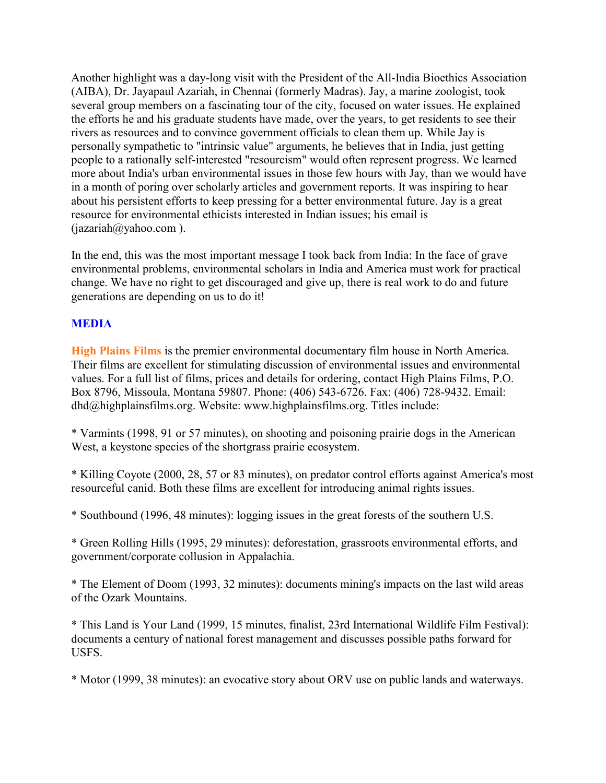Another highlight was a day-long visit with the President of the All-India Bioethics Association (AIBA), Dr. Jayapaul Azariah, in Chennai (formerly Madras). Jay, a marine zoologist, took several group members on a fascinating tour of the city, focused on water issues. He explained the efforts he and his graduate students have made, over the years, to get residents to see their rivers as resources and to convince government officials to clean them up. While Jay is personally sympathetic to "intrinsic value" arguments, he believes that in India, just getting people to a rationally self-interested "resourcism" would often represent progress. We learned more about India's urban environmental issues in those few hours with Jay, than we would have in a month of poring over scholarly articles and government reports. It was inspiring to hear about his persistent efforts to keep pressing for a better environmental future. Jay is a great resource for environmental ethicists interested in Indian issues; his email is (jazariah@yahoo.com ).

In the end, this was the most important message I took back from India: In the face of grave environmental problems, environmental scholars in India and America must work for practical change. We have no right to get discouraged and give up, there is real work to do and future generations are depending on us to do it!

# **MEDIA**

**High Plains Films** is the premier environmental documentary film house in North America. Their films are excellent for stimulating discussion of environmental issues and environmental values. For a full list of films, prices and details for ordering, contact High Plains Films, P.O. Box 8796, Missoula, Montana 59807. Phone: (406) 543-6726. Fax: (406) 728-9432. Email: dhd@highplainsfilms.org. Website: www.highplainsfilms.org. Titles include:

\* Varmints (1998, 91 or 57 minutes), on shooting and poisoning prairie dogs in the American West, a keystone species of the shortgrass prairie ecosystem.

\* Killing Coyote (2000, 28, 57 or 83 minutes), on predator control efforts against America's most resourceful canid. Both these films are excellent for introducing animal rights issues.

\* Southbound (1996, 48 minutes): logging issues in the great forests of the southern U.S.

\* Green Rolling Hills (1995, 29 minutes): deforestation, grassroots environmental efforts, and government/corporate collusion in Appalachia.

\* The Element of Doom (1993, 32 minutes): documents mining's impacts on the last wild areas of the Ozark Mountains.

\* This Land is Your Land (1999, 15 minutes, finalist, 23rd International Wildlife Film Festival): documents a century of national forest management and discusses possible paths forward for USFS.

\* Motor (1999, 38 minutes): an evocative story about ORV use on public lands and waterways.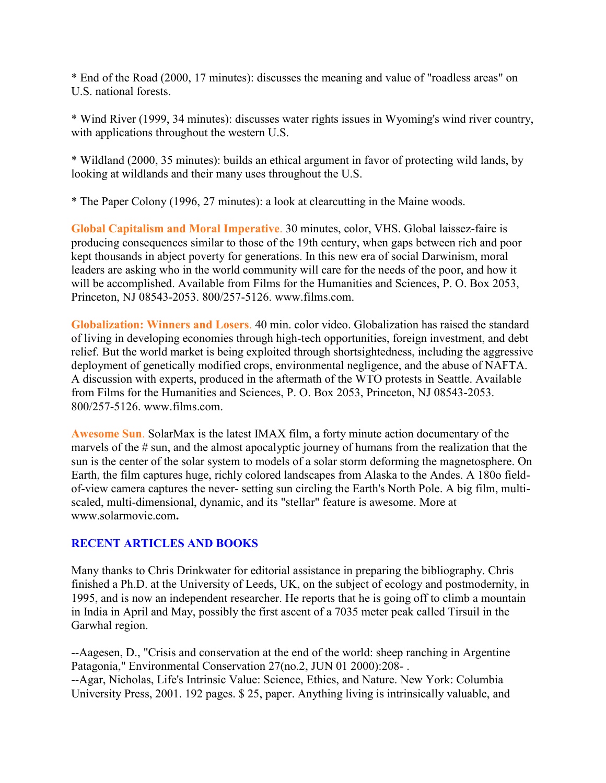\* End of the Road (2000, 17 minutes): discusses the meaning and value of "roadless areas" on U.S. national forests.

\* Wind River (1999, 34 minutes): discusses water rights issues in Wyoming's wind river country, with applications throughout the western U.S.

\* Wildland (2000, 35 minutes): builds an ethical argument in favor of protecting wild lands, by looking at wildlands and their many uses throughout the U.S.

\* The Paper Colony (1996, 27 minutes): a look at clearcutting in the Maine woods.

**Global Capitalism and Moral Imperative**. 30 minutes, color, VHS. Global laissez-faire is producing consequences similar to those of the 19th century, when gaps between rich and poor kept thousands in abject poverty for generations. In this new era of social Darwinism, moral leaders are asking who in the world community will care for the needs of the poor, and how it will be accomplished. Available from Films for the Humanities and Sciences, P. O. Box 2053, Princeton, NJ 08543-2053. 800/257-5126. www.films.com.

**Globalization: Winners and Losers**. 40 min. color video. Globalization has raised the standard of living in developing economies through high-tech opportunities, foreign investment, and debt relief. But the world market is being exploited through shortsightedness, including the aggressive deployment of genetically modified crops, environmental negligence, and the abuse of NAFTA. A discussion with experts, produced in the aftermath of the WTO protests in Seattle. Available from Films for the Humanities and Sciences, P. O. Box 2053, Princeton, NJ 08543-2053. 800/257-5126. www.films.com.

**Awesome Sun**. SolarMax is the latest IMAX film, a forty minute action documentary of the marvels of the # sun, and the almost apocalyptic journey of humans from the realization that the sun is the center of the solar system to models of a solar storm deforming the magnetosphere. On Earth, the film captures huge, richly colored landscapes from Alaska to the Andes. A 180o fieldof-view camera captures the never- setting sun circling the Earth's North Pole. A big film, multiscaled, multi-dimensional, dynamic, and its "stellar" feature is awesome. More at www.solarmovie.com**.**

# **RECENT ARTICLES AND BOOKS**

Many thanks to Chris Drinkwater for editorial assistance in preparing the bibliography. Chris finished a Ph.D. at the University of Leeds, UK, on the subject of ecology and postmodernity, in 1995, and is now an independent researcher. He reports that he is going off to climb a mountain in India in April and May, possibly the first ascent of a 7035 meter peak called Tirsuil in the Garwhal region.

--Aagesen, D., "Crisis and conservation at the end of the world: sheep ranching in Argentine Patagonia," Environmental Conservation 27(no.2, JUN 01 2000):208- . --Agar, Nicholas, Life's Intrinsic Value: Science, Ethics, and Nature. New York: Columbia University Press, 2001. 192 pages. \$ 25, paper. Anything living is intrinsically valuable, and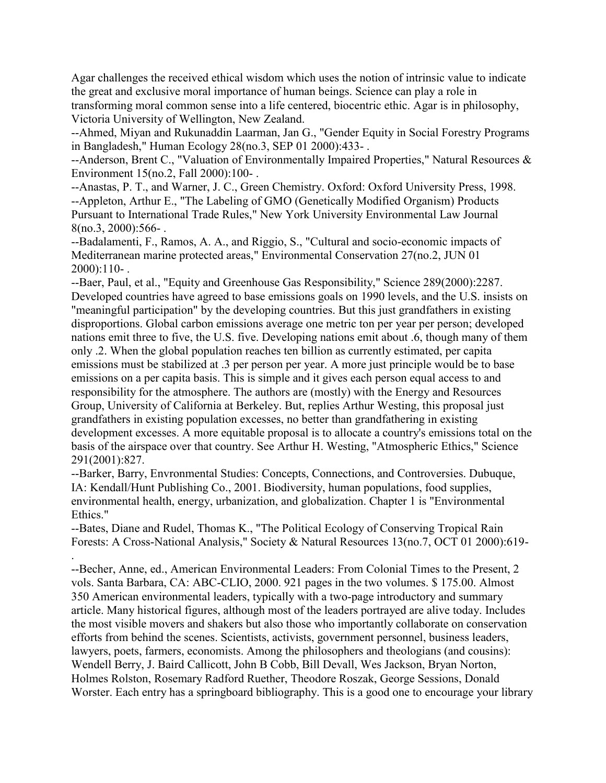Agar challenges the received ethical wisdom which uses the notion of intrinsic value to indicate the great and exclusive moral importance of human beings. Science can play a role in transforming moral common sense into a life centered, biocentric ethic. Agar is in philosophy, Victoria University of Wellington, New Zealand.

--Ahmed, Miyan and Rukunaddin Laarman, Jan G., "Gender Equity in Social Forestry Programs in Bangladesh," Human Ecology 28(no.3, SEP 01 2000):433- .

--Anderson, Brent C., "Valuation of Environmentally Impaired Properties," Natural Resources & Environment 15(no.2, Fall 2000):100- .

--Anastas, P. T., and Warner, J. C., Green Chemistry. Oxford: Oxford University Press, 1998. --Appleton, Arthur E., "The Labeling of GMO (Genetically Modified Organism) Products Pursuant to International Trade Rules," New York University Environmental Law Journal  $8(no.3, 2000):566-.$ 

--Badalamenti, F., Ramos, A. A., and Riggio, S., "Cultural and socio-economic impacts of Mediterranean marine protected areas," Environmental Conservation 27(no.2, JUN 01 2000):110- .

--Baer, Paul, et al., "Equity and Greenhouse Gas Responsibility," Science 289(2000):2287. Developed countries have agreed to base emissions goals on 1990 levels, and the U.S. insists on "meaningful participation" by the developing countries. But this just grandfathers in existing disproportions. Global carbon emissions average one metric ton per year per person; developed nations emit three to five, the U.S. five. Developing nations emit about .6, though many of them only .2. When the global population reaches ten billion as currently estimated, per capita emissions must be stabilized at .3 per person per year. A more just principle would be to base emissions on a per capita basis. This is simple and it gives each person equal access to and responsibility for the atmosphere. The authors are (mostly) with the Energy and Resources Group, University of California at Berkeley. But, replies Arthur Westing, this proposal just grandfathers in existing population excesses, no better than grandfathering in existing development excesses. A more equitable proposal is to allocate a country's emissions total on the basis of the airspace over that country. See Arthur H. Westing, "Atmospheric Ethics," Science 291(2001):827.

--Barker, Barry, Envronmental Studies: Concepts, Connections, and Controversies. Dubuque, IA: Kendall/Hunt Publishing Co., 2001. Biodiversity, human populations, food supplies, environmental health, energy, urbanization, and globalization. Chapter 1 is "Environmental Ethics."

--Bates, Diane and Rudel, Thomas K., "The Political Ecology of Conserving Tropical Rain Forests: A Cross-National Analysis," Society & Natural Resources 13(no.7, OCT 01 2000):619- .

--Becher, Anne, ed., American Environmental Leaders: From Colonial Times to the Present, 2 vols. Santa Barbara, CA: ABC-CLIO, 2000. 921 pages in the two volumes. \$ 175.00. Almost 350 American environmental leaders, typically with a two-page introductory and summary article. Many historical figures, although most of the leaders portrayed are alive today. Includes the most visible movers and shakers but also those who importantly collaborate on conservation efforts from behind the scenes. Scientists, activists, government personnel, business leaders, lawyers, poets, farmers, economists. Among the philosophers and theologians (and cousins): Wendell Berry, J. Baird Callicott, John B Cobb, Bill Devall, Wes Jackson, Bryan Norton, Holmes Rolston, Rosemary Radford Ruether, Theodore Roszak, George Sessions, Donald Worster. Each entry has a springboard bibliography. This is a good one to encourage your library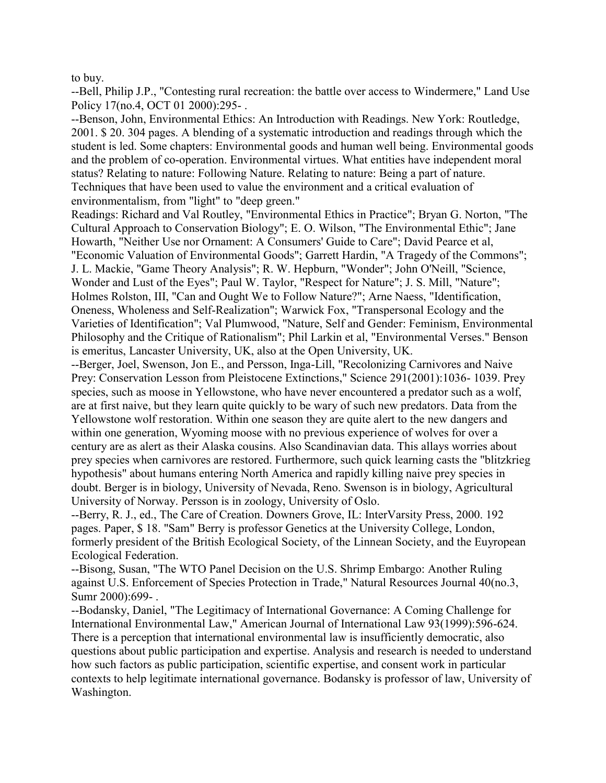to buy.

--Bell, Philip J.P., "Contesting rural recreation: the battle over access to Windermere," Land Use Policy 17(no.4, OCT 01 2000):295-.

--Benson, John, Environmental Ethics: An Introduction with Readings. New York: Routledge, 2001. \$ 20. 304 pages. A blending of a systematic introduction and readings through which the student is led. Some chapters: Environmental goods and human well being. Environmental goods and the problem of co-operation. Environmental virtues. What entities have independent moral status? Relating to nature: Following Nature. Relating to nature: Being a part of nature. Techniques that have been used to value the environment and a critical evaluation of environmentalism, from "light" to "deep green."

Readings: Richard and Val Routley, "Environmental Ethics in Practice"; Bryan G. Norton, "The Cultural Approach to Conservation Biology"; E. O. Wilson, "The Environmental Ethic"; Jane Howarth, "Neither Use nor Ornament: A Consumers' Guide to Care"; David Pearce et al, "Economic Valuation of Environmental Goods"; Garrett Hardin, "A Tragedy of the Commons"; J. L. Mackie, "Game Theory Analysis"; R. W. Hepburn, "Wonder"; John O'Neill, "Science, Wonder and Lust of the Eyes"; Paul W. Taylor, "Respect for Nature"; J. S. Mill, "Nature"; Holmes Rolston, III, "Can and Ought We to Follow Nature?"; Arne Naess, "Identification, Oneness, Wholeness and Self-Realization"; Warwick Fox, "Transpersonal Ecology and the Varieties of Identification"; Val Plumwood, "Nature, Self and Gender: Feminism, Environmental Philosophy and the Critique of Rationalism"; Phil Larkin et al, "Environmental Verses." Benson is emeritus, Lancaster University, UK, also at the Open University, UK.

--Berger, Joel, Swenson, Jon E., and Persson, Inga-Lill, "Recolonizing Carnivores and Naive Prey: Conservation Lesson from Pleistocene Extinctions," Science 291(2001):1036- 1039. Prey species, such as moose in Yellowstone, who have never encountered a predator such as a wolf, are at first naive, but they learn quite quickly to be wary of such new predators. Data from the Yellowstone wolf restoration. Within one season they are quite alert to the new dangers and within one generation, Wyoming moose with no previous experience of wolves for over a century are as alert as their Alaska cousins. Also Scandinavian data. This allays worries about prey species when carnivores are restored. Furthermore, such quick learning casts the "blitzkrieg hypothesis" about humans entering North America and rapidly killing naive prey species in doubt. Berger is in biology, University of Nevada, Reno. Swenson is in biology, Agricultural University of Norway. Persson is in zoology, University of Oslo.

--Berry, R. J., ed., The Care of Creation. Downers Grove, IL: InterVarsity Press, 2000. 192 pages. Paper, \$ 18. "Sam" Berry is professor Genetics at the University College, London, formerly president of the British Ecological Society, of the Linnean Society, and the Euyropean Ecological Federation.

--Bisong, Susan, "The WTO Panel Decision on the U.S. Shrimp Embargo: Another Ruling against U.S. Enforcement of Species Protection in Trade," Natural Resources Journal 40(no.3, Sumr 2000):699- .

--Bodansky, Daniel, "The Legitimacy of International Governance: A Coming Challenge for International Environmental Law," American Journal of International Law 93(1999):596-624. There is a perception that international environmental law is insufficiently democratic, also questions about public participation and expertise. Analysis and research is needed to understand how such factors as public participation, scientific expertise, and consent work in particular contexts to help legitimate international governance. Bodansky is professor of law, University of Washington.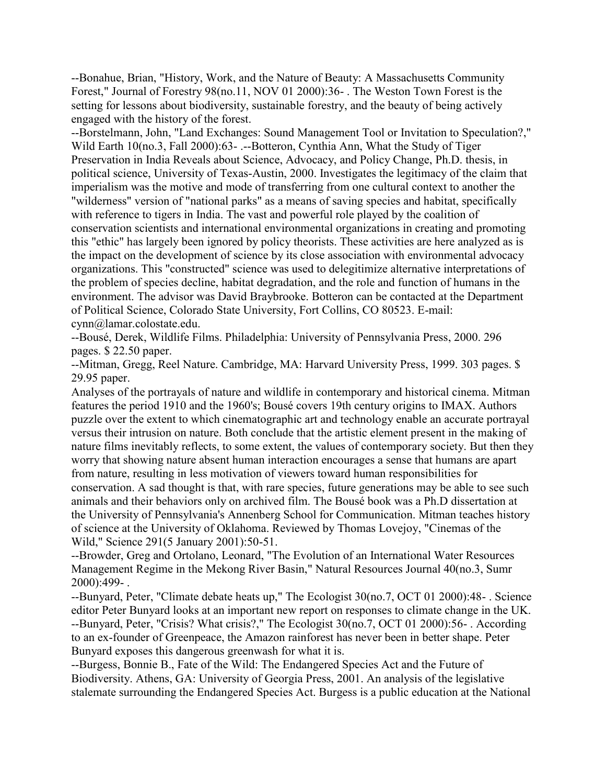--Bonahue, Brian, "History, Work, and the Nature of Beauty: A Massachusetts Community Forest," Journal of Forestry 98(no.11, NOV 01 2000):36- . The Weston Town Forest is the setting for lessons about biodiversity, sustainable forestry, and the beauty of being actively engaged with the history of the forest.

--Borstelmann, John, "Land Exchanges: Sound Management Tool or Invitation to Speculation?," Wild Earth 10(no.3, Fall 2000):63- .--Botteron, Cynthia Ann, What the Study of Tiger Preservation in India Reveals about Science, Advocacy, and Policy Change, Ph.D. thesis, in political science, University of Texas-Austin, 2000. Investigates the legitimacy of the claim that imperialism was the motive and mode of transferring from one cultural context to another the "wilderness" version of "national parks" as a means of saving species and habitat, specifically with reference to tigers in India. The vast and powerful role played by the coalition of conservation scientists and international environmental organizations in creating and promoting this "ethic" has largely been ignored by policy theorists. These activities are here analyzed as is the impact on the development of science by its close association with environmental advocacy organizations. This "constructed" science was used to delegitimize alternative interpretations of the problem of species decline, habitat degradation, and the role and function of humans in the environment. The advisor was David Braybrooke. Botteron can be contacted at the Department of Political Science, Colorado State University, Fort Collins, CO 80523. E-mail: cynn@lamar.colostate.edu.

--Bousé, Derek, Wildlife Films. Philadelphia: University of Pennsylvania Press, 2000. 296 pages. \$ 22.50 paper.

--Mitman, Gregg, Reel Nature. Cambridge, MA: Harvard University Press, 1999. 303 pages. \$ 29.95 paper.

Analyses of the portrayals of nature and wildlife in contemporary and historical cinema. Mitman features the period 1910 and the 1960's; Bousé covers 19th century origins to IMAX. Authors puzzle over the extent to which cinematographic art and technology enable an accurate portrayal versus their intrusion on nature. Both conclude that the artistic element present in the making of nature films inevitably reflects, to some extent, the values of contemporary society. But then they worry that showing nature absent human interaction encourages a sense that humans are apart from nature, resulting in less motivation of viewers toward human responsibilities for conservation. A sad thought is that, with rare species, future generations may be able to see such animals and their behaviors only on archived film. The Bousé book was a Ph.D dissertation at the University of Pennsylvania's Annenberg School for Communication. Mitman teaches history of science at the University of Oklahoma. Reviewed by Thomas Lovejoy, "Cinemas of the Wild," Science 291(5 January 2001):50-51.

--Browder, Greg and Ortolano, Leonard, "The Evolution of an International Water Resources Management Regime in the Mekong River Basin," Natural Resources Journal 40(no.3, Sumr 2000):499- .

--Bunyard, Peter, "Climate debate heats up," The Ecologist 30(no.7, OCT 01 2000):48- . Science editor Peter Bunyard looks at an important new report on responses to climate change in the UK. --Bunyard, Peter, "Crisis? What crisis?," The Ecologist 30(no.7, OCT 01 2000):56- . According to an ex-founder of Greenpeace, the Amazon rainforest has never been in better shape. Peter Bunyard exposes this dangerous greenwash for what it is.

--Burgess, Bonnie B., Fate of the Wild: The Endangered Species Act and the Future of Biodiversity. Athens, GA: University of Georgia Press, 2001. An analysis of the legislative stalemate surrounding the Endangered Species Act. Burgess is a public education at the National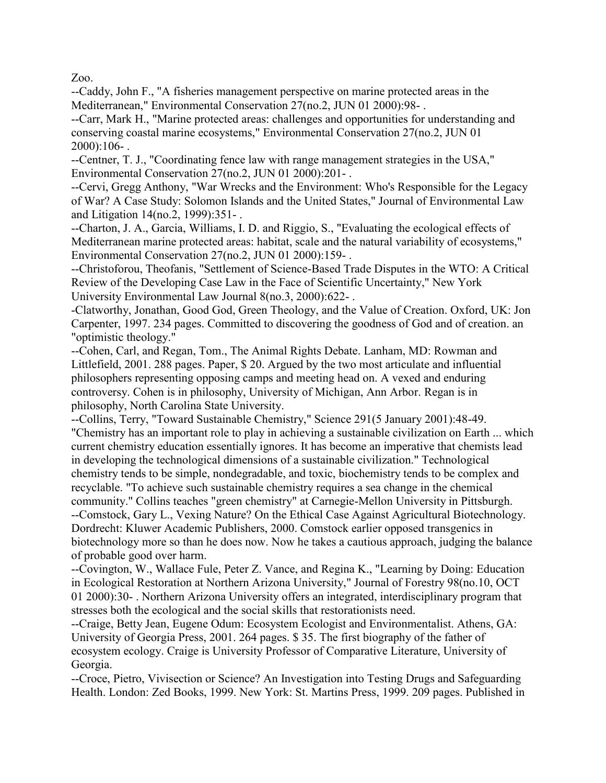Zoo.

--Caddy, John F., "A fisheries management perspective on marine protected areas in the Mediterranean," Environmental Conservation 27(no.2, JUN 01 2000):98- .

--Carr, Mark H., "Marine protected areas: challenges and opportunities for understanding and conserving coastal marine ecosystems," Environmental Conservation 27(no.2, JUN 01 2000):106- .

--Centner, T. J., "Coordinating fence law with range management strategies in the USA," Environmental Conservation 27(no.2, JUN 01 2000):201- .

--Cervi, Gregg Anthony, "War Wrecks and the Environment: Who's Responsible for the Legacy of War? A Case Study: Solomon Islands and the United States," Journal of Environmental Law and Litigation 14(no.2, 1999):351- .

--Charton, J. A., Garcia, Williams, I. D. and Riggio, S., "Evaluating the ecological effects of Mediterranean marine protected areas: habitat, scale and the natural variability of ecosystems," Environmental Conservation 27(no.2, JUN 01 2000):159- .

--Christoforou, Theofanis, "Settlement of Science-Based Trade Disputes in the WTO: A Critical Review of the Developing Case Law in the Face of Scientific Uncertainty," New York University Environmental Law Journal 8(no.3, 2000):622- .

-Clatworthy, Jonathan, Good God, Green Theology, and the Value of Creation. Oxford, UK: Jon Carpenter, 1997. 234 pages. Committed to discovering the goodness of God and of creation. an "optimistic theology."

--Cohen, Carl, and Regan, Tom., The Animal Rights Debate. Lanham, MD: Rowman and Littlefield, 2001. 288 pages. Paper, \$ 20. Argued by the two most articulate and influential philosophers representing opposing camps and meeting head on. A vexed and enduring controversy. Cohen is in philosophy, University of Michigan, Ann Arbor. Regan is in philosophy, North Carolina State University.

--Collins, Terry, "Toward Sustainable Chemistry," Science 291(5 January 2001):48-49. "Chemistry has an important role to play in achieving a sustainable civilization on Earth ... which current chemistry education essentially ignores. It has become an imperative that chemists lead in developing the technological dimensions of a sustainable civilization." Technological chemistry tends to be simple, nondegradable, and toxic, biochemistry tends to be complex and recyclable. "To achieve such sustainable chemistry requires a sea change in the chemical community." Collins teaches "green chemistry" at Carnegie-Mellon University in Pittsburgh. --Comstock, Gary L., Vexing Nature? On the Ethical Case Against Agricultural Biotechnology. Dordrecht: Kluwer Academic Publishers, 2000. Comstock earlier opposed transgenics in biotechnology more so than he does now. Now he takes a cautious approach, judging the balance of probable good over harm.

--Covington, W., Wallace Fule, Peter Z. Vance, and Regina K., "Learning by Doing: Education in Ecological Restoration at Northern Arizona University," Journal of Forestry 98(no.10, OCT 01 2000):30- . Northern Arizona University offers an integrated, interdisciplinary program that stresses both the ecological and the social skills that restorationists need.

--Craige, Betty Jean, Eugene Odum: Ecosystem Ecologist and Environmentalist. Athens, GA: University of Georgia Press, 2001. 264 pages. \$ 35. The first biography of the father of ecosystem ecology. Craige is University Professor of Comparative Literature, University of Georgia.

--Croce, Pietro, Vivisection or Science? An Investigation into Testing Drugs and Safeguarding Health. London: Zed Books, 1999. New York: St. Martins Press, 1999. 209 pages. Published in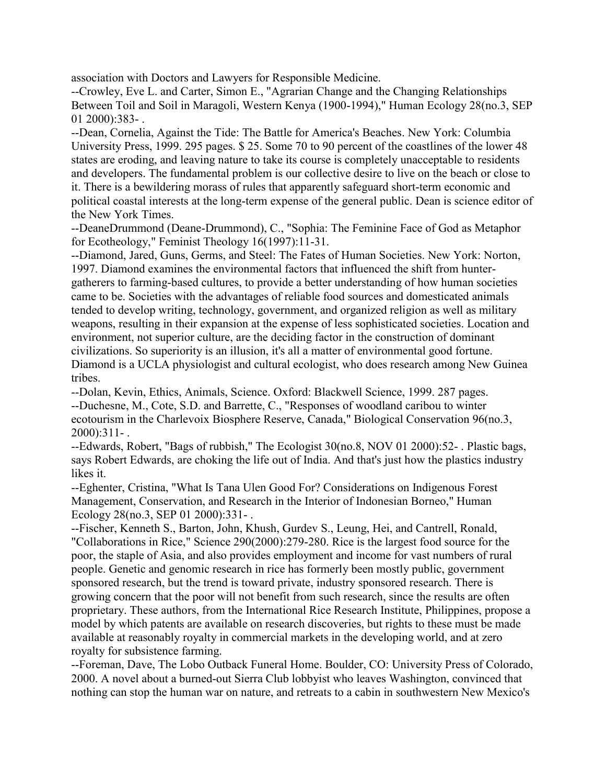association with Doctors and Lawyers for Responsible Medicine.

--Crowley, Eve L. and Carter, Simon E., "Agrarian Change and the Changing Relationships Between Toil and Soil in Maragoli, Western Kenya (1900-1994)," Human Ecology 28(no.3, SEP 01 2000):383- .

--Dean, Cornelia, Against the Tide: The Battle for America's Beaches. New York: Columbia University Press, 1999. 295 pages. \$ 25. Some 70 to 90 percent of the coastlines of the lower 48 states are eroding, and leaving nature to take its course is completely unacceptable to residents and developers. The fundamental problem is our collective desire to live on the beach or close to it. There is a bewildering morass of rules that apparently safeguard short-term economic and political coastal interests at the long-term expense of the general public. Dean is science editor of the New York Times.

--DeaneDrummond (Deane-Drummond), C., "Sophia: The Feminine Face of God as Metaphor for Ecotheology," Feminist Theology 16(1997):11-31.

--Diamond, Jared, Guns, Germs, and Steel: The Fates of Human Societies. New York: Norton, 1997. Diamond examines the environmental factors that influenced the shift from huntergatherers to farming-based cultures, to provide a better understanding of how human societies came to be. Societies with the advantages of reliable food sources and domesticated animals tended to develop writing, technology, government, and organized religion as well as military weapons, resulting in their expansion at the expense of less sophisticated societies. Location and environment, not superior culture, are the deciding factor in the construction of dominant civilizations. So superiority is an illusion, it's all a matter of environmental good fortune. Diamond is a UCLA physiologist and cultural ecologist, who does research among New Guinea tribes.

--Dolan, Kevin, Ethics, Animals, Science. Oxford: Blackwell Science, 1999. 287 pages. --Duchesne, M., Cote, S.D. and Barrette, C., "Responses of woodland caribou to winter ecotourism in the Charlevoix Biosphere Reserve, Canada," Biological Conservation 96(no.3, 2000):311- .

--Edwards, Robert, "Bags of rubbish," The Ecologist 30(no.8, NOV 01 2000):52- . Plastic bags, says Robert Edwards, are choking the life out of India. And that's just how the plastics industry likes it.

--Eghenter, Cristina, "What Is Tana Ulen Good For? Considerations on Indigenous Forest Management, Conservation, and Research in the Interior of Indonesian Borneo," Human Ecology 28(no.3, SEP 01 2000):331- .

--Fischer, Kenneth S., Barton, John, Khush, Gurdev S., Leung, Hei, and Cantrell, Ronald, "Collaborations in Rice," Science 290(2000):279-280. Rice is the largest food source for the poor, the staple of Asia, and also provides employment and income for vast numbers of rural people. Genetic and genomic research in rice has formerly been mostly public, government sponsored research, but the trend is toward private, industry sponsored research. There is growing concern that the poor will not benefit from such research, since the results are often proprietary. These authors, from the International Rice Research Institute, Philippines, propose a model by which patents are available on research discoveries, but rights to these must be made available at reasonably royalty in commercial markets in the developing world, and at zero royalty for subsistence farming.

--Foreman, Dave, The Lobo Outback Funeral Home. Boulder, CO: University Press of Colorado, 2000. A novel about a burned-out Sierra Club lobbyist who leaves Washington, convinced that nothing can stop the human war on nature, and retreats to a cabin in southwestern New Mexico's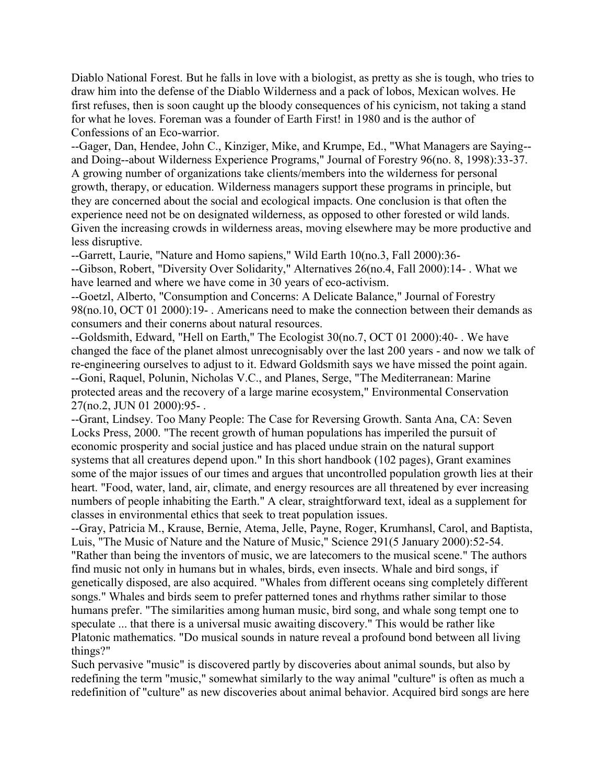Diablo National Forest. But he falls in love with a biologist, as pretty as she is tough, who tries to draw him into the defense of the Diablo Wilderness and a pack of lobos, Mexican wolves. He first refuses, then is soon caught up the bloody consequences of his cynicism, not taking a stand for what he loves. Foreman was a founder of Earth First! in 1980 and is the author of Confessions of an Eco-warrior.

--Gager, Dan, Hendee, John C., Kinziger, Mike, and Krumpe, Ed., "What Managers are Saying- and Doing--about Wilderness Experience Programs," Journal of Forestry 96(no. 8, 1998):33-37. A growing number of organizations take clients/members into the wilderness for personal growth, therapy, or education. Wilderness managers support these programs in principle, but they are concerned about the social and ecological impacts. One conclusion is that often the experience need not be on designated wilderness, as opposed to other forested or wild lands. Given the increasing crowds in wilderness areas, moving elsewhere may be more productive and less disruptive.

--Garrett, Laurie, "Nature and Homo sapiens," Wild Earth 10(no.3, Fall 2000):36-

--Gibson, Robert, "Diversity Over Solidarity," Alternatives 26(no.4, Fall 2000):14- . What we have learned and where we have come in 30 years of eco-activism.

--Goetzl, Alberto, "Consumption and Concerns: A Delicate Balance," Journal of Forestry 98(no.10, OCT 01 2000):19- . Americans need to make the connection between their demands as consumers and their conerns about natural resources.

--Goldsmith, Edward, "Hell on Earth," The Ecologist 30(no.7, OCT 01 2000):40- . We have changed the face of the planet almost unrecognisably over the last 200 years - and now we talk of re-engineering ourselves to adjust to it. Edward Goldsmith says we have missed the point again. --Goni, Raquel, Polunin, Nicholas V.C., and Planes, Serge, "The Mediterranean: Marine protected areas and the recovery of a large marine ecosystem," Environmental Conservation 27(no.2, JUN 01 2000):95- .

--Grant, Lindsey. Too Many People: The Case for Reversing Growth. Santa Ana, CA: Seven Locks Press, 2000. "The recent growth of human populations has imperiled the pursuit of economic prosperity and social justice and has placed undue strain on the natural support systems that all creatures depend upon." In this short handbook (102 pages), Grant examines some of the major issues of our times and argues that uncontrolled population growth lies at their heart. "Food, water, land, air, climate, and energy resources are all threatened by ever increasing numbers of people inhabiting the Earth." A clear, straightforward text, ideal as a supplement for classes in environmental ethics that seek to treat population issues.

--Gray, Patricia M., Krause, Bernie, Atema, Jelle, Payne, Roger, Krumhansl, Carol, and Baptista, Luis, "The Music of Nature and the Nature of Music," Science 291(5 January 2000):52-54. "Rather than being the inventors of music, we are latecomers to the musical scene." The authors find music not only in humans but in whales, birds, even insects. Whale and bird songs, if genetically disposed, are also acquired. "Whales from different oceans sing completely different songs." Whales and birds seem to prefer patterned tones and rhythms rather similar to those humans prefer. "The similarities among human music, bird song, and whale song tempt one to speculate ... that there is a universal music awaiting discovery." This would be rather like Platonic mathematics. "Do musical sounds in nature reveal a profound bond between all living things?"

Such pervasive "music" is discovered partly by discoveries about animal sounds, but also by redefining the term "music," somewhat similarly to the way animal "culture" is often as much a redefinition of "culture" as new discoveries about animal behavior. Acquired bird songs are here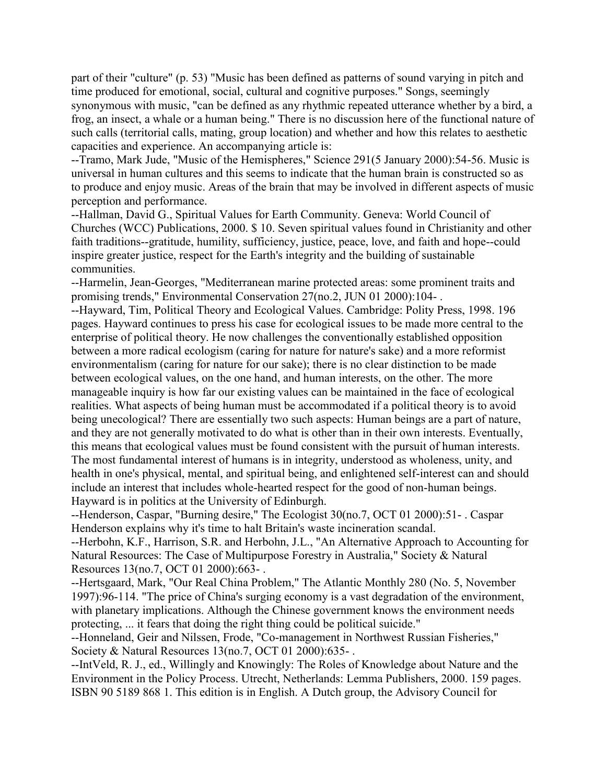part of their "culture" (p. 53) "Music has been defined as patterns of sound varying in pitch and time produced for emotional, social, cultural and cognitive purposes." Songs, seemingly synonymous with music, "can be defined as any rhythmic repeated utterance whether by a bird, a frog, an insect, a whale or a human being." There is no discussion here of the functional nature of such calls (territorial calls, mating, group location) and whether and how this relates to aesthetic capacities and experience. An accompanying article is:

--Tramo, Mark Jude, "Music of the Hemispheres," Science 291(5 January 2000):54-56. Music is universal in human cultures and this seems to indicate that the human brain is constructed so as to produce and enjoy music. Areas of the brain that may be involved in different aspects of music perception and performance.

--Hallman, David G., Spiritual Values for Earth Community. Geneva: World Council of Churches (WCC) Publications, 2000. \$ 10. Seven spiritual values found in Christianity and other faith traditions--gratitude, humility, sufficiency, justice, peace, love, and faith and hope--could inspire greater justice, respect for the Earth's integrity and the building of sustainable communities.

--Harmelin, Jean-Georges, "Mediterranean marine protected areas: some prominent traits and promising trends," Environmental Conservation 27(no.2, JUN 01 2000):104- .

--Hayward, Tim, Political Theory and Ecological Values. Cambridge: Polity Press, 1998. 196 pages. Hayward continues to press his case for ecological issues to be made more central to the enterprise of political theory. He now challenges the conventionally established opposition between a more radical ecologism (caring for nature for nature's sake) and a more reformist environmentalism (caring for nature for our sake); there is no clear distinction to be made between ecological values, on the one hand, and human interests, on the other. The more manageable inquiry is how far our existing values can be maintained in the face of ecological realities. What aspects of being human must be accommodated if a political theory is to avoid being unecological? There are essentially two such aspects: Human beings are a part of nature, and they are not generally motivated to do what is other than in their own interests. Eventually, this means that ecological values must be found consistent with the pursuit of human interests. The most fundamental interest of humans is in integrity, understood as wholeness, unity, and health in one's physical, mental, and spiritual being, and enlightened self-interest can and should include an interest that includes whole-hearted respect for the good of non-human beings. Hayward is in politics at the University of Edinburgh.

--Henderson, Caspar, "Burning desire," The Ecologist 30(no.7, OCT 01 2000):51- . Caspar Henderson explains why it's time to halt Britain's waste incineration scandal.

--Herbohn, K.F., Harrison, S.R. and Herbohn, J.L., "An Alternative Approach to Accounting for Natural Resources: The Case of Multipurpose Forestry in Australia," Society & Natural Resources 13(no.7, OCT 01 2000):663- .

--Hertsgaard, Mark, "Our Real China Problem," The Atlantic Monthly 280 (No. 5, November 1997):96-114. "The price of China's surging economy is a vast degradation of the environment, with planetary implications. Although the Chinese government knows the environment needs protecting, ... it fears that doing the right thing could be political suicide."

--Honneland, Geir and Nilssen, Frode, "Co-management in Northwest Russian Fisheries," Society & Natural Resources 13(no.7, OCT 01 2000):635- .

--IntVeld, R. J., ed., Willingly and Knowingly: The Roles of Knowledge about Nature and the Environment in the Policy Process. Utrecht, Netherlands: Lemma Publishers, 2000. 159 pages. ISBN 90 5189 868 1. This edition is in English. A Dutch group, the Advisory Council for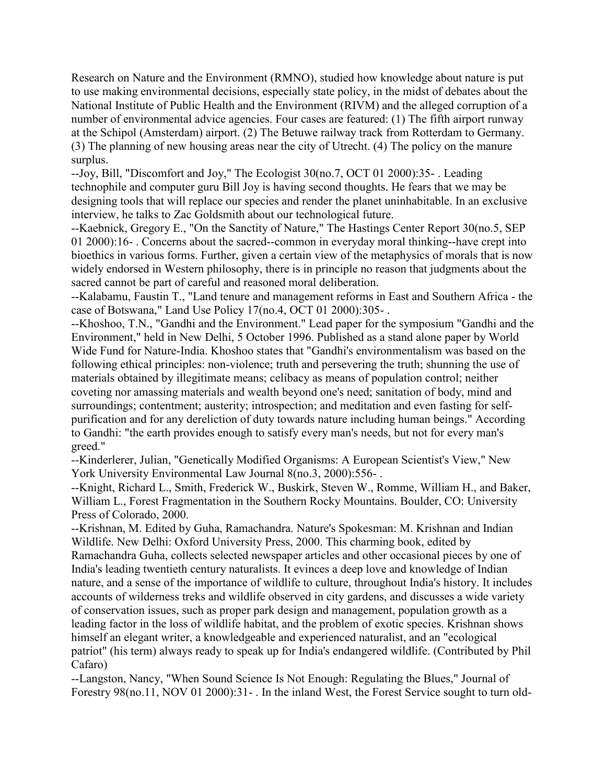Research on Nature and the Environment (RMNO), studied how knowledge about nature is put to use making environmental decisions, especially state policy, in the midst of debates about the National Institute of Public Health and the Environment (RIVM) and the alleged corruption of a number of environmental advice agencies. Four cases are featured: (1) The fifth airport runway at the Schipol (Amsterdam) airport. (2) The Betuwe railway track from Rotterdam to Germany. (3) The planning of new housing areas near the city of Utrecht. (4) The policy on the manure surplus.

--Joy, Bill, "Discomfort and Joy," The Ecologist 30(no.7, OCT 01 2000):35- . Leading technophile and computer guru Bill Joy is having second thoughts. He fears that we may be designing tools that will replace our species and render the planet uninhabitable. In an exclusive interview, he talks to Zac Goldsmith about our technological future.

--Kaebnick, Gregory E., "On the Sanctity of Nature," The Hastings Center Report 30(no.5, SEP 01 2000):16- . Concerns about the sacred--common in everyday moral thinking--have crept into bioethics in various forms. Further, given a certain view of the metaphysics of morals that is now widely endorsed in Western philosophy, there is in principle no reason that judgments about the sacred cannot be part of careful and reasoned moral deliberation.

--Kalabamu, Faustin T., "Land tenure and management reforms in East and Southern Africa - the case of Botswana," Land Use Policy 17(no.4, OCT 01 2000):305- .

--Khoshoo, T.N., "Gandhi and the Environment." Lead paper for the symposium "Gandhi and the Environment," held in New Delhi, 5 October 1996. Published as a stand alone paper by World Wide Fund for Nature-India. Khoshoo states that "Gandhi's environmentalism was based on the following ethical principles: non-violence; truth and persevering the truth; shunning the use of materials obtained by illegitimate means; celibacy as means of population control; neither coveting nor amassing materials and wealth beyond one's need; sanitation of body, mind and surroundings; contentment; austerity; introspection; and meditation and even fasting for selfpurification and for any dereliction of duty towards nature including human beings." According to Gandhi: "the earth provides enough to satisfy every man's needs, but not for every man's greed."

--Kinderlerer, Julian, "Genetically Modified Organisms: A European Scientist's View," New York University Environmental Law Journal 8(no.3, 2000):556-.

--Knight, Richard L., Smith, Frederick W., Buskirk, Steven W., Romme, William H., and Baker, William L., Forest Fragmentation in the Southern Rocky Mountains. Boulder, CO: University Press of Colorado, 2000.

--Krishnan, M. Edited by Guha, Ramachandra. Nature's Spokesman: M. Krishnan and Indian Wildlife. New Delhi: Oxford University Press, 2000. This charming book, edited by Ramachandra Guha, collects selected newspaper articles and other occasional pieces by one of India's leading twentieth century naturalists. It evinces a deep love and knowledge of Indian nature, and a sense of the importance of wildlife to culture, throughout India's history. It includes accounts of wilderness treks and wildlife observed in city gardens, and discusses a wide variety of conservation issues, such as proper park design and management, population growth as a leading factor in the loss of wildlife habitat, and the problem of exotic species. Krishnan shows himself an elegant writer, a knowledgeable and experienced naturalist, and an "ecological patriot" (his term) always ready to speak up for India's endangered wildlife. (Contributed by Phil Cafaro)

--Langston, Nancy, "When Sound Science Is Not Enough: Regulating the Blues," Journal of Forestry 98(no.11, NOV 01 2000):31- . In the inland West, the Forest Service sought to turn old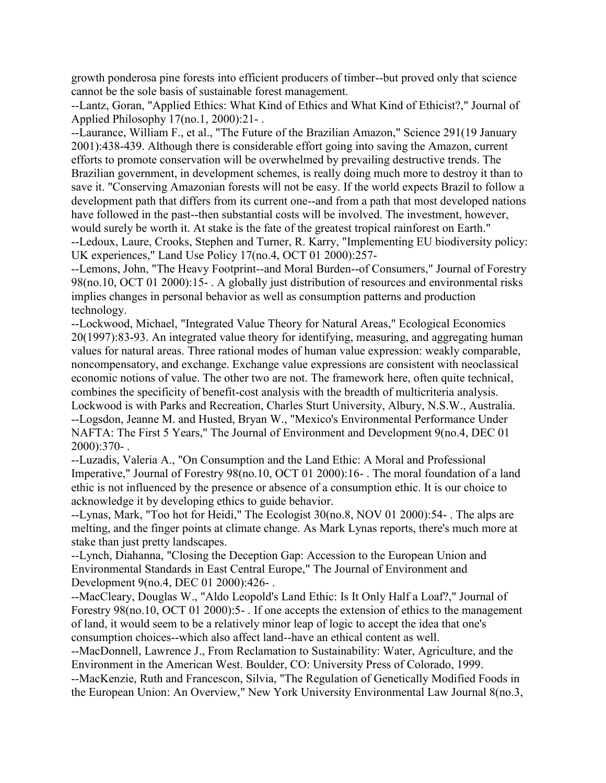growth ponderosa pine forests into efficient producers of timber--but proved only that science cannot be the sole basis of sustainable forest management.

--Lantz, Goran, "Applied Ethics: What Kind of Ethics and What Kind of Ethicist?," Journal of Applied Philosophy 17(no.1, 2000):21- .

--Laurance, William F., et al., "The Future of the Brazilian Amazon," Science 291(19 January 2001):438-439. Although there is considerable effort going into saving the Amazon, current efforts to promote conservation will be overwhelmed by prevailing destructive trends. The Brazilian government, in development schemes, is really doing much more to destroy it than to save it. "Conserving Amazonian forests will not be easy. If the world expects Brazil to follow a development path that differs from its current one--and from a path that most developed nations have followed in the past--then substantial costs will be involved. The investment, however, would surely be worth it. At stake is the fate of the greatest tropical rainforest on Earth." --Ledoux, Laure, Crooks, Stephen and Turner, R. Karry, "Implementing EU biodiversity policy: UK experiences," Land Use Policy 17(no.4, OCT 01 2000):257-

--Lemons, John, "The Heavy Footprint--and Moral Burden--of Consumers," Journal of Forestry 98(no.10, OCT 01 2000):15- . A globally just distribution of resources and environmental risks implies changes in personal behavior as well as consumption patterns and production technology.

--Lockwood, Michael, "Integrated Value Theory for Natural Areas," Ecological Economics 20(1997):83-93. An integrated value theory for identifying, measuring, and aggregating human values for natural areas. Three rational modes of human value expression: weakly comparable, noncompensatory, and exchange. Exchange value expressions are consistent with neoclassical economic notions of value. The other two are not. The framework here, often quite technical, combines the specificity of benefit-cost analysis with the breadth of multicriteria analysis. Lockwood is with Parks and Recreation, Charles Sturt University, Albury, N.S.W., Australia. --Logsdon, Jeanne M. and Husted, Bryan W., "Mexico's Environmental Performance Under NAFTA: The First 5 Years," The Journal of Environment and Development 9(no.4, DEC 01 2000):370- .

--Luzadis, Valeria A., "On Consumption and the Land Ethic: A Moral and Professional Imperative," Journal of Forestry 98(no.10, OCT 01 2000):16- . The moral foundation of a land ethic is not influenced by the presence or absence of a consumption ethic. It is our choice to acknowledge it by developing ethics to guide behavior.

--Lynas, Mark, "Too hot for Heidi," The Ecologist 30(no.8, NOV 01 2000):54- . The alps are melting, and the finger points at climate change. As Mark Lynas reports, there's much more at stake than just pretty landscapes.

--Lynch, Diahanna, "Closing the Deception Gap: Accession to the European Union and Environmental Standards in East Central Europe," The Journal of Environment and Development 9(no.4, DEC 01 2000):426- .

--MacCleary, Douglas W., "Aldo Leopold's Land Ethic: Is It Only Half a Loaf?," Journal of Forestry 98(no.10, OCT 01 2000):5- . If one accepts the extension of ethics to the management of land, it would seem to be a relatively minor leap of logic to accept the idea that one's consumption choices--which also affect land--have an ethical content as well.

--MacDonnell, Lawrence J., From Reclamation to Sustainability: Water, Agriculture, and the Environment in the American West. Boulder, CO: University Press of Colorado, 1999.

--MacKenzie, Ruth and Francescon, Silvia, "The Regulation of Genetically Modified Foods in the European Union: An Overview," New York University Environmental Law Journal 8(no.3,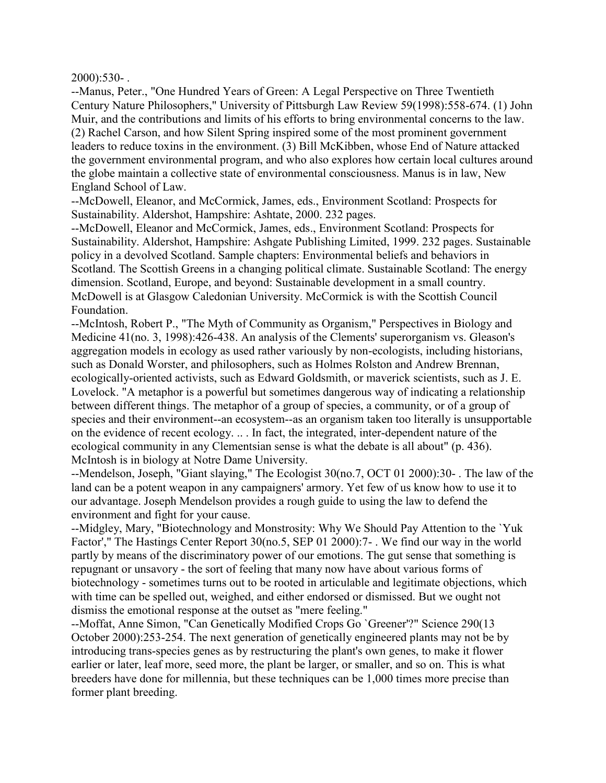$2000$ :530-

--Manus, Peter., "One Hundred Years of Green: A Legal Perspective on Three Twentieth Century Nature Philosophers," University of Pittsburgh Law Review 59(1998):558-674. (1) John Muir, and the contributions and limits of his efforts to bring environmental concerns to the law. (2) Rachel Carson, and how Silent Spring inspired some of the most prominent government leaders to reduce toxins in the environment. (3) Bill McKibben, whose End of Nature attacked the government environmental program, and who also explores how certain local cultures around the globe maintain a collective state of environmental consciousness. Manus is in law, New England School of Law.

--McDowell, Eleanor, and McCormick, James, eds., Environment Scotland: Prospects for Sustainability. Aldershot, Hampshire: Ashtate, 2000. 232 pages.

--McDowell, Eleanor and McCormick, James, eds., Environment Scotland: Prospects for Sustainability. Aldershot, Hampshire: Ashgate Publishing Limited, 1999. 232 pages. Sustainable policy in a devolved Scotland. Sample chapters: Environmental beliefs and behaviors in Scotland. The Scottish Greens in a changing political climate. Sustainable Scotland: The energy dimension. Scotland, Europe, and beyond: Sustainable development in a small country. McDowell is at Glasgow Caledonian University. McCormick is with the Scottish Council Foundation.

--McIntosh, Robert P., "The Myth of Community as Organism," Perspectives in Biology and Medicine 41(no. 3, 1998):426-438. An analysis of the Clements' superorganism vs. Gleason's aggregation models in ecology as used rather variously by non-ecologists, including historians, such as Donald Worster, and philosophers, such as Holmes Rolston and Andrew Brennan, ecologically-oriented activists, such as Edward Goldsmith, or maverick scientists, such as J. E. Lovelock. "A metaphor is a powerful but sometimes dangerous way of indicating a relationship between different things. The metaphor of a group of species, a community, or of a group of species and their environment--an ecosystem--as an organism taken too literally is unsupportable on the evidence of recent ecology. .. . In fact, the integrated, inter-dependent nature of the ecological community in any Clementsian sense is what the debate is all about" (p. 436). McIntosh is in biology at Notre Dame University.

--Mendelson, Joseph, "Giant slaying," The Ecologist 30(no.7, OCT 01 2000):30- . The law of the land can be a potent weapon in any campaigners' armory. Yet few of us know how to use it to our advantage. Joseph Mendelson provides a rough guide to using the law to defend the environment and fight for your cause.

--Midgley, Mary, "Biotechnology and Monstrosity: Why We Should Pay Attention to the `Yuk Factor'," The Hastings Center Report 30(no.5, SEP 01 2000):7- . We find our way in the world partly by means of the discriminatory power of our emotions. The gut sense that something is repugnant or unsavory - the sort of feeling that many now have about various forms of biotechnology - sometimes turns out to be rooted in articulable and legitimate objections, which with time can be spelled out, weighed, and either endorsed or dismissed. But we ought not dismiss the emotional response at the outset as "mere feeling."

--Moffat, Anne Simon, "Can Genetically Modified Crops Go `Greener'?" Science 290(13 October 2000):253-254. The next generation of genetically engineered plants may not be by introducing trans-species genes as by restructuring the plant's own genes, to make it flower earlier or later, leaf more, seed more, the plant be larger, or smaller, and so on. This is what breeders have done for millennia, but these techniques can be 1,000 times more precise than former plant breeding.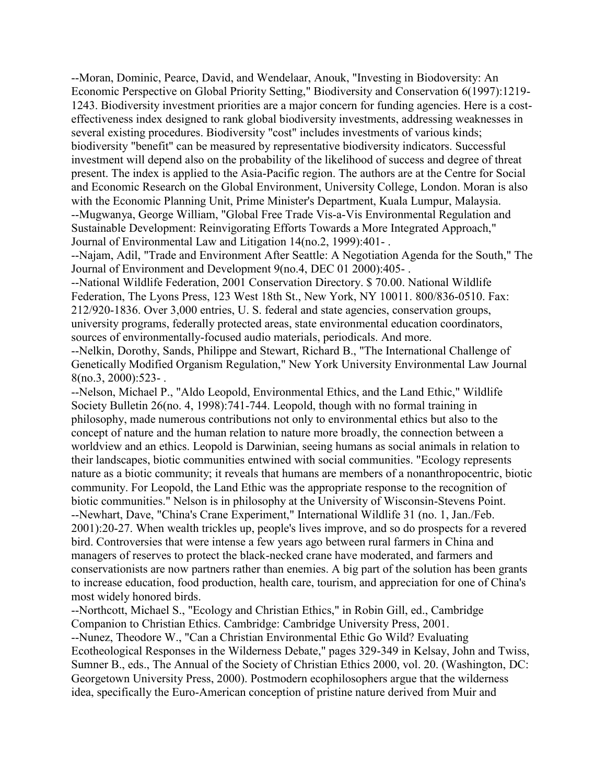--Moran, Dominic, Pearce, David, and Wendelaar, Anouk, "Investing in Biodoversity: An Economic Perspective on Global Priority Setting," Biodiversity and Conservation 6(1997):1219- 1243. Biodiversity investment priorities are a major concern for funding agencies. Here is a costeffectiveness index designed to rank global biodiversity investments, addressing weaknesses in several existing procedures. Biodiversity "cost" includes investments of various kinds; biodiversity "benefit" can be measured by representative biodiversity indicators. Successful investment will depend also on the probability of the likelihood of success and degree of threat present. The index is applied to the Asia-Pacific region. The authors are at the Centre for Social and Economic Research on the Global Environment, University College, London. Moran is also with the Economic Planning Unit, Prime Minister's Department, Kuala Lumpur, Malaysia. --Mugwanya, George William, "Global Free Trade Vis-a-Vis Environmental Regulation and Sustainable Development: Reinvigorating Efforts Towards a More Integrated Approach," Journal of Environmental Law and Litigation 14(no.2, 1999):401- .

--Najam, Adil, "Trade and Environment After Seattle: A Negotiation Agenda for the South," The Journal of Environment and Development 9(no.4, DEC 01 2000):405- .

--National Wildlife Federation, 2001 Conservation Directory. \$ 70.00. National Wildlife Federation, The Lyons Press, 123 West 18th St., New York, NY 10011. 800/836-0510. Fax: 212/920-1836. Over 3,000 entries, U. S. federal and state agencies, conservation groups, university programs, federally protected areas, state environmental education coordinators, sources of environmentally-focused audio materials, periodicals. And more.

--Nelkin, Dorothy, Sands, Philippe and Stewart, Richard B., "The International Challenge of Genetically Modified Organism Regulation," New York University Environmental Law Journal  $8(no.3, 2000):523-$ .

--Nelson, Michael P., "Aldo Leopold, Environmental Ethics, and the Land Ethic," Wildlife Society Bulletin 26(no. 4, 1998):741-744. Leopold, though with no formal training in philosophy, made numerous contributions not only to environmental ethics but also to the concept of nature and the human relation to nature more broadly, the connection between a worldview and an ethics. Leopold is Darwinian, seeing humans as social animals in relation to their landscapes, biotic communities entwined with social communities. "Ecology represents nature as a biotic community; it reveals that humans are members of a nonanthropocentric, biotic community. For Leopold, the Land Ethic was the appropriate response to the recognition of biotic communities." Nelson is in philosophy at the University of Wisconsin-Stevens Point. --Newhart, Dave, "China's Crane Experiment," International Wildlife 31 (no. 1, Jan./Feb. 2001):20-27. When wealth trickles up, people's lives improve, and so do prospects for a revered bird. Controversies that were intense a few years ago between rural farmers in China and managers of reserves to protect the black-necked crane have moderated, and farmers and conservationists are now partners rather than enemies. A big part of the solution has been grants to increase education, food production, health care, tourism, and appreciation for one of China's most widely honored birds.

--Northcott, Michael S., "Ecology and Christian Ethics," in Robin Gill, ed., Cambridge Companion to Christian Ethics. Cambridge: Cambridge University Press, 2001. --Nunez, Theodore W., "Can a Christian Environmental Ethic Go Wild? Evaluating Ecotheological Responses in the Wilderness Debate," pages 329-349 in Kelsay, John and Twiss, Sumner B., eds., The Annual of the Society of Christian Ethics 2000, vol. 20. (Washington, DC: Georgetown University Press, 2000). Postmodern ecophilosophers argue that the wilderness idea, specifically the Euro-American conception of pristine nature derived from Muir and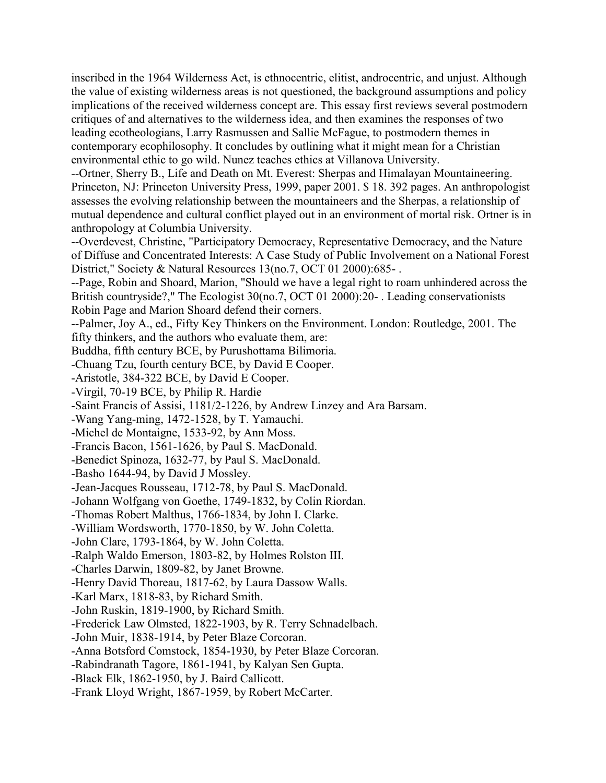inscribed in the 1964 Wilderness Act, is ethnocentric, elitist, androcentric, and unjust. Although the value of existing wilderness areas is not questioned, the background assumptions and policy implications of the received wilderness concept are. This essay first reviews several postmodern critiques of and alternatives to the wilderness idea, and then examines the responses of two leading ecotheologians, Larry Rasmussen and Sallie McFague, to postmodern themes in contemporary ecophilosophy. It concludes by outlining what it might mean for a Christian environmental ethic to go wild. Nunez teaches ethics at Villanova University.

--Ortner, Sherry B., Life and Death on Mt. Everest: Sherpas and Himalayan Mountaineering. Princeton, NJ: Princeton University Press, 1999, paper 2001. \$ 18. 392 pages. An anthropologist assesses the evolving relationship between the mountaineers and the Sherpas, a relationship of mutual dependence and cultural conflict played out in an environment of mortal risk. Ortner is in anthropology at Columbia University.

--Overdevest, Christine, "Participatory Democracy, Representative Democracy, and the Nature of Diffuse and Concentrated Interests: A Case Study of Public Involvement on a National Forest District," Society & Natural Resources 13(no.7, OCT 01 2000):685-.

--Page, Robin and Shoard, Marion, "Should we have a legal right to roam unhindered across the British countryside?," The Ecologist 30(no.7, OCT 01 2000):20- . Leading conservationists Robin Page and Marion Shoard defend their corners.

--Palmer, Joy A., ed., Fifty Key Thinkers on the Environment. London: Routledge, 2001. The fifty thinkers, and the authors who evaluate them, are:

Buddha, fifth century BCE, by Purushottama Bilimoria.

-Chuang Tzu, fourth century BCE, by David E Cooper.

-Aristotle, 384-322 BCE, by David E Cooper.

-Virgil, 70-19 BCE, by Philip R. Hardie

-Saint Francis of Assisi, 1181/2-1226, by Andrew Linzey and Ara Barsam.

-Wang Yang-ming, 1472-1528, by T. Yamauchi.

-Michel de Montaigne, 1533-92, by Ann Moss.

-Francis Bacon, 1561-1626, by Paul S. MacDonald.

-Benedict Spinoza, 1632-77, by Paul S. MacDonald.

-Basho 1644-94, by David J Mossley.

-Jean-Jacques Rousseau, 1712-78, by Paul S. MacDonald.

-Johann Wolfgang von Goethe, 1749-1832, by Colin Riordan.

-Thomas Robert Malthus, 1766-1834, by John I. Clarke.

-William Wordsworth, 1770-1850, by W. John Coletta.

-John Clare, 1793-1864, by W. John Coletta.

-Ralph Waldo Emerson, 1803-82, by Holmes Rolston III.

-Charles Darwin, 1809-82, by Janet Browne.

-Henry David Thoreau, 1817-62, by Laura Dassow Walls.

-Karl Marx, 1818-83, by Richard Smith.

-John Ruskin, 1819-1900, by Richard Smith.

-Frederick Law Olmsted, 1822-1903, by R. Terry Schnadelbach.

-John Muir, 1838-1914, by Peter Blaze Corcoran.

-Anna Botsford Comstock, 1854-1930, by Peter Blaze Corcoran.

-Rabindranath Tagore, 1861-1941, by Kalyan Sen Gupta.

-Black Elk, 1862-1950, by J. Baird Callicott.

-Frank Lloyd Wright, 1867-1959, by Robert McCarter.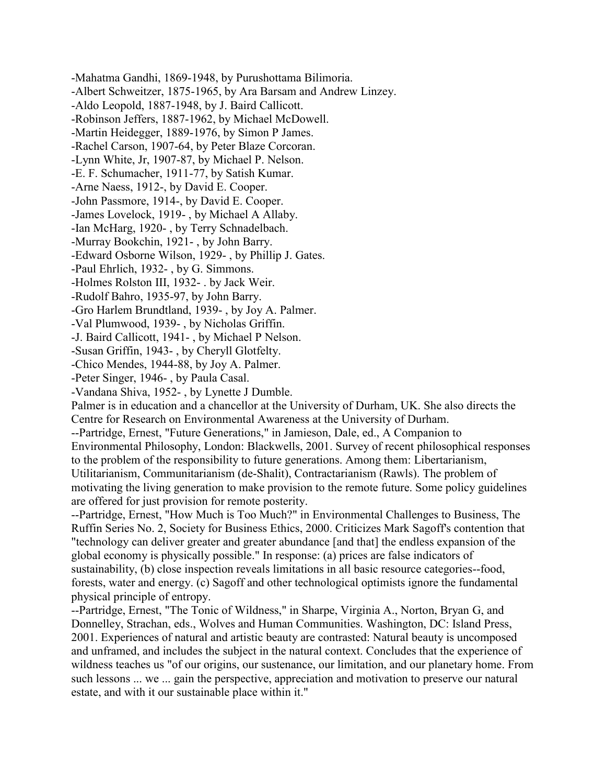-Mahatma Gandhi, 1869-1948, by Purushottama Bilimoria. -Albert Schweitzer, 1875-1965, by Ara Barsam and Andrew Linzey. -Aldo Leopold, 1887-1948, by J. Baird Callicott. -Robinson Jeffers, 1887-1962, by Michael McDowell. -Martin Heidegger, 1889-1976, by Simon P James. -Rachel Carson, 1907-64, by Peter Blaze Corcoran. -Lynn White, Jr, 1907-87, by Michael P. Nelson. -E. F. Schumacher, 1911-77, by Satish Kumar. -Arne Naess, 1912-, by David E. Cooper. -John Passmore, 1914-, by David E. Cooper. -James Lovelock, 1919- , by Michael A Allaby. -Ian McHarg, 1920- , by Terry Schnadelbach. -Murray Bookchin, 1921- , by John Barry. -Edward Osborne Wilson, 1929- , by Phillip J. Gates. -Paul Ehrlich, 1932- , by G. Simmons. -Holmes Rolston III, 1932- . by Jack Weir. -Rudolf Bahro, 1935-97, by John Barry. -Gro Harlem Brundtland, 1939- , by Joy A. Palmer. -Val Plumwood, 1939- , by Nicholas Griffin. -J. Baird Callicott, 1941- , by Michael P Nelson. -Susan Griffin, 1943- , by Cheryll Glotfelty. -Chico Mendes, 1944-88, by Joy A. Palmer. -Peter Singer, 1946- , by Paula Casal. -Vandana Shiva, 1952- , by Lynette J Dumble. Palmer is in education and a chancellor at the University of Durham, UK. She also directs the Centre for Research on Environmental Awareness at the University of Durham. --Partridge, Ernest, "Future Generations," in Jamieson, Dale, ed., A Companion to Environmental Philosophy, London: Blackwells, 2001. Survey of recent philosophical responses to the problem of the responsibility to future generations. Among them: Libertarianism, Utilitarianism, Communitarianism (de-Shalit), Contractarianism (Rawls). The problem of motivating the living generation to make provision to the remote future. Some policy guidelines are offered for just provision for remote posterity. --Partridge, Ernest, "How Much is Too Much?" in Environmental Challenges to Business, The Ruffin Series No. 2, Society for Business Ethics, 2000. Criticizes Mark Sagoff's contention that "technology can deliver greater and greater abundance [and that] the endless expansion of the global economy is physically possible." In response: (a) prices are false indicators of sustainability, (b) close inspection reveals limitations in all basic resource categories--food, forests, water and energy. (c) Sagoff and other technological optimists ignore the fundamental physical principle of entropy. --Partridge, Ernest, "The Tonic of Wildness," in Sharpe, Virginia A., Norton, Bryan G, and Donnelley, Strachan, eds., Wolves and Human Communities. Washington, DC: Island Press,

2001. Experiences of natural and artistic beauty are contrasted: Natural beauty is uncomposed and unframed, and includes the subject in the natural context. Concludes that the experience of wildness teaches us "of our origins, our sustenance, our limitation, and our planetary home. From such lessons ... we ... gain the perspective, appreciation and motivation to preserve our natural estate, and with it our sustainable place within it."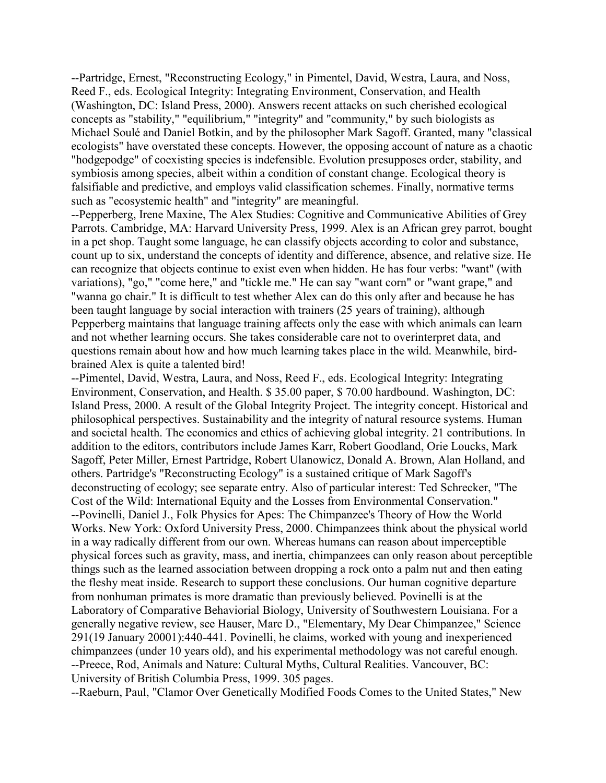--Partridge, Ernest, "Reconstructing Ecology," in Pimentel, David, Westra, Laura, and Noss, Reed F., eds. Ecological Integrity: Integrating Environment, Conservation, and Health (Washington, DC: Island Press, 2000). Answers recent attacks on such cherished ecological concepts as "stability," "equilibrium," "integrity" and "community," by such biologists as Michael Soulé and Daniel Botkin, and by the philosopher Mark Sagoff. Granted, many "classical ecologists" have overstated these concepts. However, the opposing account of nature as a chaotic "hodgepodge" of coexisting species is indefensible. Evolution presupposes order, stability, and symbiosis among species, albeit within a condition of constant change. Ecological theory is falsifiable and predictive, and employs valid classification schemes. Finally, normative terms such as "ecosystemic health" and "integrity" are meaningful.

--Pepperberg, Irene Maxine, The Alex Studies: Cognitive and Communicative Abilities of Grey Parrots. Cambridge, MA: Harvard University Press, 1999. Alex is an African grey parrot, bought in a pet shop. Taught some language, he can classify objects according to color and substance, count up to six, understand the concepts of identity and difference, absence, and relative size. He can recognize that objects continue to exist even when hidden. He has four verbs: "want" (with variations), "go," "come here," and "tickle me." He can say "want corn" or "want grape," and "wanna go chair." It is difficult to test whether Alex can do this only after and because he has been taught language by social interaction with trainers (25 years of training), although Pepperberg maintains that language training affects only the ease with which animals can learn and not whether learning occurs. She takes considerable care not to overinterpret data, and questions remain about how and how much learning takes place in the wild. Meanwhile, birdbrained Alex is quite a talented bird!

--Pimentel, David, Westra, Laura, and Noss, Reed F., eds. Ecological Integrity: Integrating Environment, Conservation, and Health. \$ 35.00 paper, \$ 70.00 hardbound. Washington, DC: Island Press, 2000. A result of the Global Integrity Project. The integrity concept. Historical and philosophical perspectives. Sustainability and the integrity of natural resource systems. Human and societal health. The economics and ethics of achieving global integrity. 21 contributions. In addition to the editors, contributors include James Karr, Robert Goodland, Orie Loucks, Mark Sagoff, Peter Miller, Ernest Partridge, Robert Ulanowicz, Donald A. Brown, Alan Holland, and others. Partridge's "Reconstructing Ecology" is a sustained critique of Mark Sagoff's deconstructing of ecology; see separate entry. Also of particular interest: Ted Schrecker, "The Cost of the Wild: International Equity and the Losses from Environmental Conservation." --Povinelli, Daniel J., Folk Physics for Apes: The Chimpanzee's Theory of How the World Works. New York: Oxford University Press, 2000. Chimpanzees think about the physical world in a way radically different from our own. Whereas humans can reason about imperceptible physical forces such as gravity, mass, and inertia, chimpanzees can only reason about perceptible things such as the learned association between dropping a rock onto a palm nut and then eating the fleshy meat inside. Research to support these conclusions. Our human cognitive departure from nonhuman primates is more dramatic than previously believed. Povinelli is at the Laboratory of Comparative Behaviorial Biology, University of Southwestern Louisiana. For a generally negative review, see Hauser, Marc D., "Elementary, My Dear Chimpanzee," Science 291(19 January 20001):440-441. Povinelli, he claims, worked with young and inexperienced chimpanzees (under 10 years old), and his experimental methodology was not careful enough. --Preece, Rod, Animals and Nature: Cultural Myths, Cultural Realities. Vancouver, BC: University of British Columbia Press, 1999. 305 pages.

--Raeburn, Paul, "Clamor Over Genetically Modified Foods Comes to the United States," New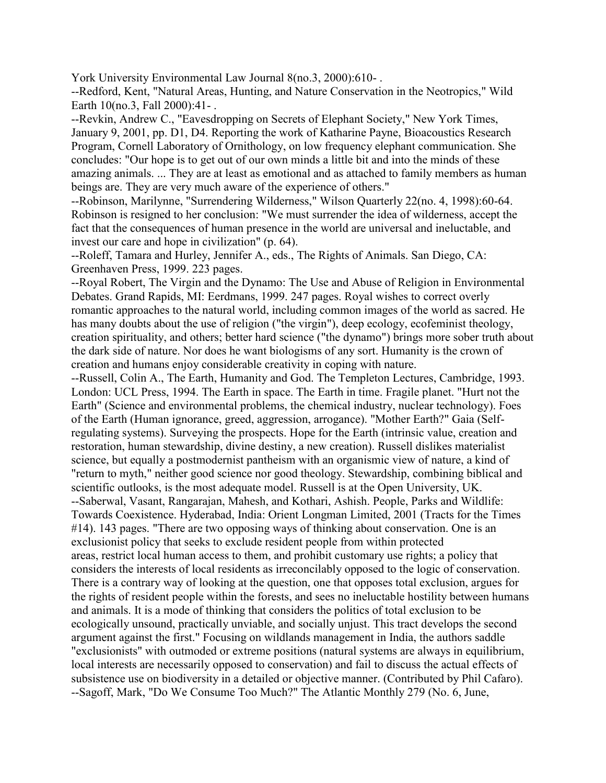York University Environmental Law Journal 8(no.3, 2000):610- .

--Redford, Kent, "Natural Areas, Hunting, and Nature Conservation in the Neotropics," Wild Earth 10(no.3, Fall 2000):41- .

--Revkin, Andrew C., "Eavesdropping on Secrets of Elephant Society," New York Times, January 9, 2001, pp. D1, D4. Reporting the work of Katharine Payne, Bioacoustics Research Program, Cornell Laboratory of Ornithology, on low frequency elephant communication. She concludes: "Our hope is to get out of our own minds a little bit and into the minds of these amazing animals. ... They are at least as emotional and as attached to family members as human beings are. They are very much aware of the experience of others."

--Robinson, Marilynne, "Surrendering Wilderness," Wilson Quarterly 22(no. 4, 1998):60-64. Robinson is resigned to her conclusion: "We must surrender the idea of wilderness, accept the fact that the consequences of human presence in the world are universal and ineluctable, and invest our care and hope in civilization" (p. 64).

--Roleff, Tamara and Hurley, Jennifer A., eds., The Rights of Animals. San Diego, CA: Greenhaven Press, 1999. 223 pages.

--Royal Robert, The Virgin and the Dynamo: The Use and Abuse of Religion in Environmental Debates. Grand Rapids, MI: Eerdmans, 1999. 247 pages. Royal wishes to correct overly romantic approaches to the natural world, including common images of the world as sacred. He has many doubts about the use of religion ("the virgin"), deep ecology, ecofeminist theology, creation spirituality, and others; better hard science ("the dynamo") brings more sober truth about the dark side of nature. Nor does he want biologisms of any sort. Humanity is the crown of creation and humans enjoy considerable creativity in coping with nature.

--Russell, Colin A., The Earth, Humanity and God. The Templeton Lectures, Cambridge, 1993. London: UCL Press, 1994. The Earth in space. The Earth in time. Fragile planet. "Hurt not the Earth" (Science and environmental problems, the chemical industry, nuclear technology). Foes of the Earth (Human ignorance, greed, aggression, arrogance). "Mother Earth?" Gaia (Selfregulating systems). Surveying the prospects. Hope for the Earth (intrinsic value, creation and restoration, human stewardship, divine destiny, a new creation). Russell dislikes materialist science, but equally a postmodernist pantheism with an organismic view of nature, a kind of "return to myth," neither good science nor good theology. Stewardship, combining biblical and scientific outlooks, is the most adequate model. Russell is at the Open University, UK. --Saberwal, Vasant, Rangarajan, Mahesh, and Kothari, Ashish. People, Parks and Wildlife: Towards Coexistence. Hyderabad, India: Orient Longman Limited, 2001 (Tracts for the Times #14). 143 pages. "There are two opposing ways of thinking about conservation. One is an exclusionist policy that seeks to exclude resident people from within protected areas, restrict local human access to them, and prohibit customary use rights; a policy that considers the interests of local residents as irreconcilably opposed to the logic of conservation. There is a contrary way of looking at the question, one that opposes total exclusion, argues for the rights of resident people within the forests, and sees no ineluctable hostility between humans and animals. It is a mode of thinking that considers the politics of total exclusion to be ecologically unsound, practically unviable, and socially unjust. This tract develops the second argument against the first." Focusing on wildlands management in India, the authors saddle "exclusionists" with outmoded or extreme positions (natural systems are always in equilibrium, local interests are necessarily opposed to conservation) and fail to discuss the actual effects of subsistence use on biodiversity in a detailed or objective manner. (Contributed by Phil Cafaro). --Sagoff, Mark, "Do We Consume Too Much?" The Atlantic Monthly 279 (No. 6, June,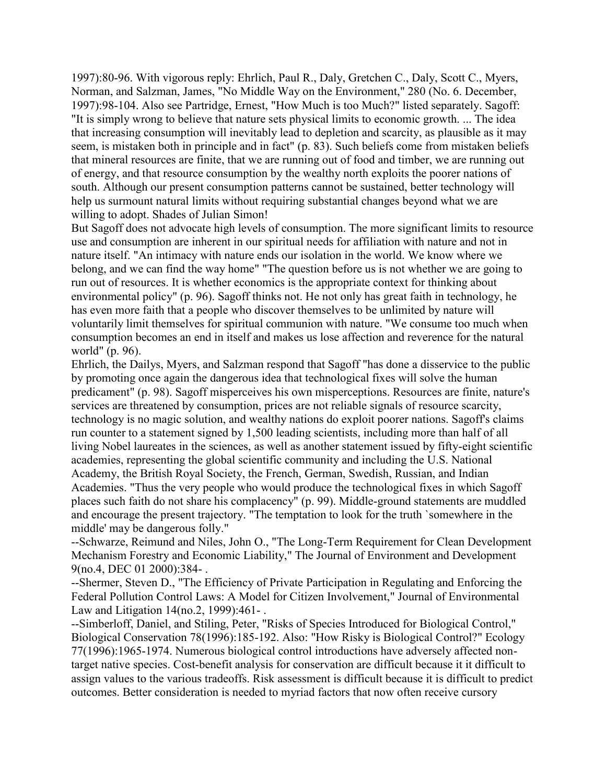1997):80-96. With vigorous reply: Ehrlich, Paul R., Daly, Gretchen C., Daly, Scott C., Myers, Norman, and Salzman, James, "No Middle Way on the Environment," 280 (No. 6. December, 1997):98-104. Also see Partridge, Ernest, "How Much is too Much?" listed separately. Sagoff: "It is simply wrong to believe that nature sets physical limits to economic growth. ... The idea that increasing consumption will inevitably lead to depletion and scarcity, as plausible as it may seem, is mistaken both in principle and in fact" (p. 83). Such beliefs come from mistaken beliefs that mineral resources are finite, that we are running out of food and timber, we are running out of energy, and that resource consumption by the wealthy north exploits the poorer nations of south. Although our present consumption patterns cannot be sustained, better technology will help us surmount natural limits without requiring substantial changes beyond what we are willing to adopt. Shades of Julian Simon!

But Sagoff does not advocate high levels of consumption. The more significant limits to resource use and consumption are inherent in our spiritual needs for affiliation with nature and not in nature itself. "An intimacy with nature ends our isolation in the world. We know where we belong, and we can find the way home" "The question before us is not whether we are going to run out of resources. It is whether economics is the appropriate context for thinking about environmental policy" (p. 96). Sagoff thinks not. He not only has great faith in technology, he has even more faith that a people who discover themselves to be unlimited by nature will voluntarily limit themselves for spiritual communion with nature. "We consume too much when consumption becomes an end in itself and makes us lose affection and reverence for the natural world" (p. 96).

Ehrlich, the Dailys, Myers, and Salzman respond that Sagoff "has done a disservice to the public by promoting once again the dangerous idea that technological fixes will solve the human predicament" (p. 98). Sagoff misperceives his own misperceptions. Resources are finite, nature's services are threatened by consumption, prices are not reliable signals of resource scarcity, technology is no magic solution, and wealthy nations do exploit poorer nations. Sagoff's claims run counter to a statement signed by 1,500 leading scientists, including more than half of all living Nobel laureates in the sciences, as well as another statement issued by fifty-eight scientific academies, representing the global scientific community and including the U.S. National Academy, the British Royal Society, the French, German, Swedish, Russian, and Indian Academies. "Thus the very people who would produce the technological fixes in which Sagoff places such faith do not share his complacency" (p. 99). Middle-ground statements are muddled and encourage the present trajectory. "The temptation to look for the truth `somewhere in the middle' may be dangerous folly."

--Schwarze, Reimund and Niles, John O., "The Long-Term Requirement for Clean Development Mechanism Forestry and Economic Liability," The Journal of Environment and Development 9(no.4, DEC 01 2000):384- .

--Shermer, Steven D., "The Efficiency of Private Participation in Regulating and Enforcing the Federal Pollution Control Laws: A Model for Citizen Involvement," Journal of Environmental Law and Litigation 14(no.2, 1999):461- .

--Simberloff, Daniel, and Stiling, Peter, "Risks of Species Introduced for Biological Control," Biological Conservation 78(1996):185-192. Also: "How Risky is Biological Control?" Ecology 77(1996):1965-1974. Numerous biological control introductions have adversely affected nontarget native species. Cost-benefit analysis for conservation are difficult because it it difficult to assign values to the various tradeoffs. Risk assessment is difficult because it is difficult to predict outcomes. Better consideration is needed to myriad factors that now often receive cursory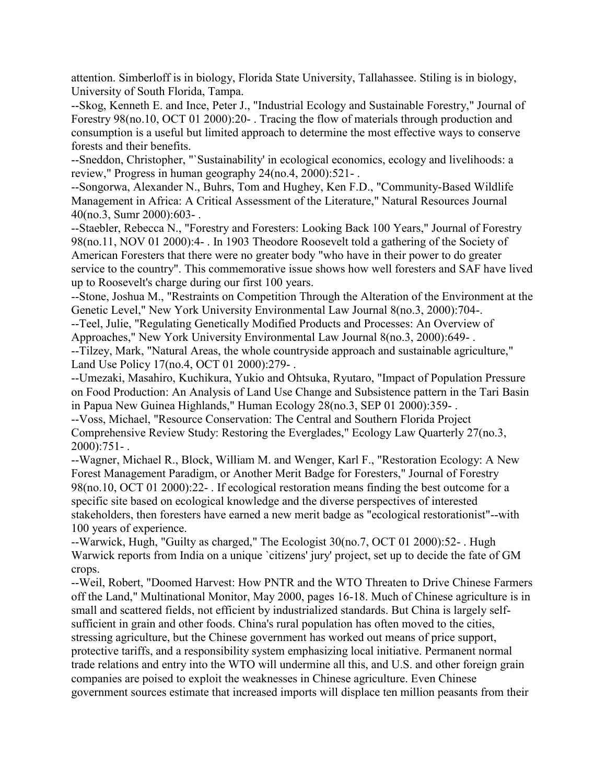attention. Simberloff is in biology, Florida State University, Tallahassee. Stiling is in biology, University of South Florida, Tampa.

--Skog, Kenneth E. and Ince, Peter J., "Industrial Ecology and Sustainable Forestry," Journal of Forestry 98(no.10, OCT 01 2000):20- . Tracing the flow of materials through production and consumption is a useful but limited approach to determine the most effective ways to conserve forests and their benefits.

--Sneddon, Christopher, "`Sustainability' in ecological economics, ecology and livelihoods: a review," Progress in human geography 24(no.4, 2000):521- .

--Songorwa, Alexander N., Buhrs, Tom and Hughey, Ken F.D., "Community-Based Wildlife Management in Africa: A Critical Assessment of the Literature," Natural Resources Journal 40(no.3, Sumr 2000):603- .

--Staebler, Rebecca N., "Forestry and Foresters: Looking Back 100 Years," Journal of Forestry 98(no.11, NOV 01 2000):4- . In 1903 Theodore Roosevelt told a gathering of the Society of American Foresters that there were no greater body "who have in their power to do greater service to the country". This commemorative issue shows how well foresters and SAF have lived up to Roosevelt's charge during our first 100 years.

--Stone, Joshua M., "Restraints on Competition Through the Alteration of the Environment at the Genetic Level," New York University Environmental Law Journal 8(no.3, 2000):704-.

--Teel, Julie, "Regulating Genetically Modified Products and Processes: An Overview of Approaches," New York University Environmental Law Journal 8(no.3, 2000):649- .

--Tilzey, Mark, "Natural Areas, the whole countryside approach and sustainable agriculture," Land Use Policy 17(no.4, OCT 01 2000):279- .

--Umezaki, Masahiro, Kuchikura, Yukio and Ohtsuka, Ryutaro, "Impact of Population Pressure on Food Production: An Analysis of Land Use Change and Subsistence pattern in the Tari Basin in Papua New Guinea Highlands," Human Ecology 28(no.3, SEP 01 2000):359- .

--Voss, Michael, "Resource Conservation: The Central and Southern Florida Project Comprehensive Review Study: Restoring the Everglades," Ecology Law Quarterly 27(no.3, 2000):751- .

--Wagner, Michael R., Block, William M. and Wenger, Karl F., "Restoration Ecology: A New Forest Management Paradigm, or Another Merit Badge for Foresters," Journal of Forestry 98(no.10, OCT 01 2000):22- . If ecological restoration means finding the best outcome for a specific site based on ecological knowledge and the diverse perspectives of interested stakeholders, then foresters have earned a new merit badge as "ecological restorationist"--with 100 years of experience.

--Warwick, Hugh, "Guilty as charged," The Ecologist 30(no.7, OCT 01 2000):52- . Hugh Warwick reports from India on a unique `citizens' jury' project, set up to decide the fate of GM crops.

--Weil, Robert, "Doomed Harvest: How PNTR and the WTO Threaten to Drive Chinese Farmers off the Land," Multinational Monitor, May 2000, pages 16-18. Much of Chinese agriculture is in small and scattered fields, not efficient by industrialized standards. But China is largely selfsufficient in grain and other foods. China's rural population has often moved to the cities, stressing agriculture, but the Chinese government has worked out means of price support, protective tariffs, and a responsibility system emphasizing local initiative. Permanent normal trade relations and entry into the WTO will undermine all this, and U.S. and other foreign grain companies are poised to exploit the weaknesses in Chinese agriculture. Even Chinese government sources estimate that increased imports will displace ten million peasants from their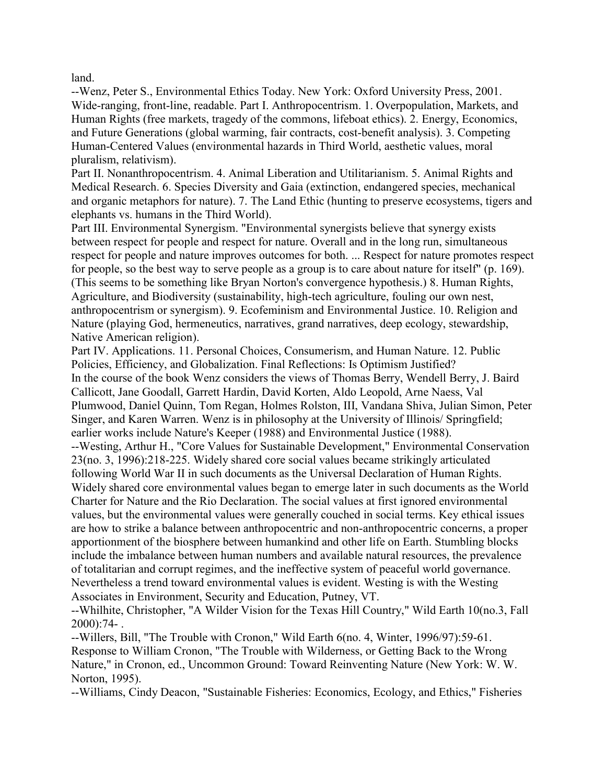land.

--Wenz, Peter S., Environmental Ethics Today. New York: Oxford University Press, 2001. Wide-ranging, front-line, readable. Part I. Anthropocentrism. 1. Overpopulation, Markets, and Human Rights (free markets, tragedy of the commons, lifeboat ethics). 2. Energy, Economics, and Future Generations (global warming, fair contracts, cost-benefit analysis). 3. Competing Human-Centered Values (environmental hazards in Third World, aesthetic values, moral pluralism, relativism).

Part II. Nonanthropocentrism. 4. Animal Liberation and Utilitarianism. 5. Animal Rights and Medical Research. 6. Species Diversity and Gaia (extinction, endangered species, mechanical and organic metaphors for nature). 7. The Land Ethic (hunting to preserve ecosystems, tigers and elephants vs. humans in the Third World).

Part III. Environmental Synergism. "Environmental synergists believe that synergy exists between respect for people and respect for nature. Overall and in the long run, simultaneous respect for people and nature improves outcomes for both. ... Respect for nature promotes respect for people, so the best way to serve people as a group is to care about nature for itself" (p. 169). (This seems to be something like Bryan Norton's convergence hypothesis.) 8. Human Rights, Agriculture, and Biodiversity (sustainability, high-tech agriculture, fouling our own nest, anthropocentrism or synergism). 9. Ecofeminism and Environmental Justice. 10. Religion and Nature (playing God, hermeneutics, narratives, grand narratives, deep ecology, stewardship, Native American religion).

Part IV. Applications. 11. Personal Choices, Consumerism, and Human Nature. 12. Public Policies, Efficiency, and Globalization. Final Reflections: Is Optimism Justified? In the course of the book Wenz considers the views of Thomas Berry, Wendell Berry, J. Baird Callicott, Jane Goodall, Garrett Hardin, David Korten, Aldo Leopold, Arne Naess, Val Plumwood, Daniel Quinn, Tom Regan, Holmes Rolston, III, Vandana Shiva, Julian Simon, Peter Singer, and Karen Warren. Wenz is in philosophy at the University of Illinois/ Springfield; earlier works include Nature's Keeper (1988) and Environmental Justice (1988). --Westing, Arthur H., "Core Values for Sustainable Development," Environmental Conservation 23(no. 3, 1996):218-225. Widely shared core social values became strikingly articulated following World War II in such documents as the Universal Declaration of Human Rights. Widely shared core environmental values began to emerge later in such documents as the World Charter for Nature and the Rio Declaration. The social values at first ignored environmental values, but the environmental values were generally couched in social terms. Key ethical issues are how to strike a balance between anthropocentric and non-anthropocentric concerns, a proper apportionment of the biosphere between humankind and other life on Earth. Stumbling blocks include the imbalance between human numbers and available natural resources, the prevalence of totalitarian and corrupt regimes, and the ineffective system of peaceful world governance. Nevertheless a trend toward environmental values is evident. Westing is with the Westing Associates in Environment, Security and Education, Putney, VT.

--Whilhite, Christopher, "A Wilder Vision for the Texas Hill Country," Wild Earth 10(no.3, Fall 2000):74- .

--Willers, Bill, "The Trouble with Cronon," Wild Earth 6(no. 4, Winter, 1996/97):59-61. Response to William Cronon, "The Trouble with Wilderness, or Getting Back to the Wrong Nature," in Cronon, ed., Uncommon Ground: Toward Reinventing Nature (New York: W. W. Norton, 1995).

--Williams, Cindy Deacon, "Sustainable Fisheries: Economics, Ecology, and Ethics," Fisheries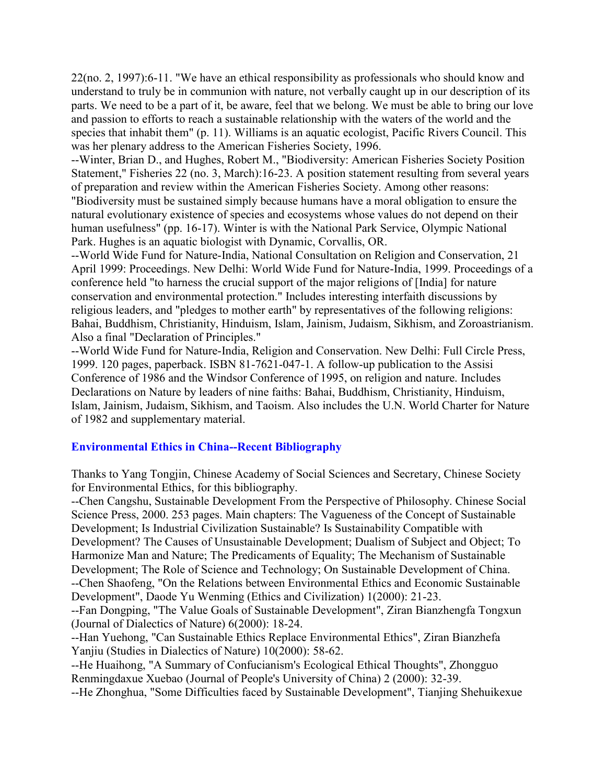22(no. 2, 1997):6-11. "We have an ethical responsibility as professionals who should know and understand to truly be in communion with nature, not verbally caught up in our description of its parts. We need to be a part of it, be aware, feel that we belong. We must be able to bring our love and passion to efforts to reach a sustainable relationship with the waters of the world and the species that inhabit them" (p. 11). Williams is an aquatic ecologist, Pacific Rivers Council. This was her plenary address to the American Fisheries Society, 1996.

--Winter, Brian D., and Hughes, Robert M., "Biodiversity: American Fisheries Society Position Statement," Fisheries 22 (no. 3, March):16-23. A position statement resulting from several years of preparation and review within the American Fisheries Society. Among other reasons:

"Biodiversity must be sustained simply because humans have a moral obligation to ensure the natural evolutionary existence of species and ecosystems whose values do not depend on their human usefulness" (pp. 16-17). Winter is with the National Park Service, Olympic National Park. Hughes is an aquatic biologist with Dynamic, Corvallis, OR.

--World Wide Fund for Nature-India, National Consultation on Religion and Conservation, 21 April 1999: Proceedings. New Delhi: World Wide Fund for Nature-India, 1999. Proceedings of a conference held "to harness the crucial support of the major religions of [India] for nature conservation and environmental protection." Includes interesting interfaith discussions by religious leaders, and "pledges to mother earth" by representatives of the following religions: Bahai, Buddhism, Christianity, Hinduism, Islam, Jainism, Judaism, Sikhism, and Zoroastrianism. Also a final "Declaration of Principles."

--World Wide Fund for Nature-India, Religion and Conservation. New Delhi: Full Circle Press, 1999. 120 pages, paperback. ISBN 81-7621-047-1. A follow-up publication to the Assisi Conference of 1986 and the Windsor Conference of 1995, on religion and nature. Includes Declarations on Nature by leaders of nine faiths: Bahai, Buddhism, Christianity, Hinduism, Islam, Jainism, Judaism, Sikhism, and Taoism. Also includes the U.N. World Charter for Nature of 1982 and supplementary material.

# **Environmental Ethics in China--Recent Bibliography**

Thanks to Yang Tongjin, Chinese Academy of Social Sciences and Secretary, Chinese Society for Environmental Ethics, for this bibliography.

--Chen Cangshu, Sustainable Development From the Perspective of Philosophy. Chinese Social Science Press, 2000. 253 pages. Main chapters: The Vagueness of the Concept of Sustainable Development; Is Industrial Civilization Sustainable? Is Sustainability Compatible with Development? The Causes of Unsustainable Development; Dualism of Subject and Object; To Harmonize Man and Nature; The Predicaments of Equality; The Mechanism of Sustainable Development; The Role of Science and Technology; On Sustainable Development of China. --Chen Shaofeng, "On the Relations between Environmental Ethics and Economic Sustainable Development", Daode Yu Wenming (Ethics and Civilization) 1(2000): 21-23.

--Fan Dongping, "The Value Goals of Sustainable Development", Ziran Bianzhengfa Tongxun (Journal of Dialectics of Nature) 6(2000): 18-24.

--Han Yuehong, "Can Sustainable Ethics Replace Environmental Ethics", Ziran Bianzhefa Yanjiu (Studies in Dialectics of Nature) 10(2000): 58-62.

--He Huaihong, "A Summary of Confucianism's Ecological Ethical Thoughts", Zhongguo Renmingdaxue Xuebao (Journal of People's University of China) 2 (2000): 32-39.

--He Zhonghua, "Some Difficulties faced by Sustainable Development", Tianjing Shehuikexue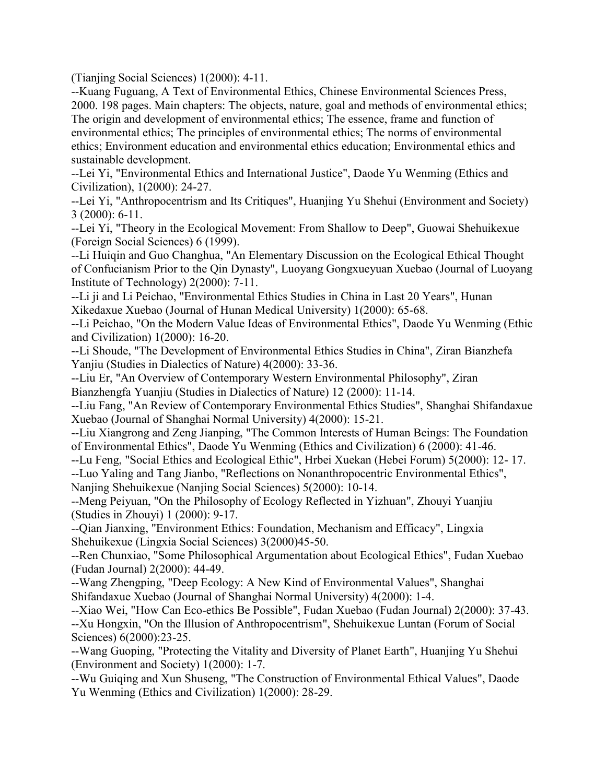(Tianjing Social Sciences) 1(2000): 4-11.

--Kuang Fuguang, A Text of Environmental Ethics, Chinese Environmental Sciences Press, 2000. 198 pages. Main chapters: The objects, nature, goal and methods of environmental ethics; The origin and development of environmental ethics; The essence, frame and function of environmental ethics; The principles of environmental ethics; The norms of environmental ethics; Environment education and environmental ethics education; Environmental ethics and sustainable development.

--Lei Yi, "Environmental Ethics and International Justice", Daode Yu Wenming (Ethics and Civilization), 1(2000): 24-27.

--Lei Yi, "Anthropocentrism and Its Critiques", Huanjing Yu Shehui (Environment and Society) 3 (2000): 6-11.

--Lei Yi, "Theory in the Ecological Movement: From Shallow to Deep", Guowai Shehuikexue (Foreign Social Sciences) 6 (1999).

--Li Huiqin and Guo Changhua, "An Elementary Discussion on the Ecological Ethical Thought of Confucianism Prior to the Qin Dynasty", Luoyang Gongxueyuan Xuebao (Journal of Luoyang Institute of Technology) 2(2000): 7-11.

--Li ji and Li Peichao, "Environmental Ethics Studies in China in Last 20 Years", Hunan Xikedaxue Xuebao (Journal of Hunan Medical University) 1(2000): 65-68.

--Li Peichao, "On the Modern Value Ideas of Environmental Ethics", Daode Yu Wenming (Ethic and Civilization) 1(2000): 16-20.

--Li Shoude, "The Development of Environmental Ethics Studies in China", Ziran Bianzhefa Yanjiu (Studies in Dialectics of Nature) 4(2000): 33-36.

--Liu Er, "An Overview of Contemporary Western Environmental Philosophy", Ziran Bianzhengfa Yuanjiu (Studies in Dialectics of Nature) 12 (2000): 11-14.

--Liu Fang, "An Review of Contemporary Environmental Ethics Studies", Shanghai Shifandaxue Xuebao (Journal of Shanghai Normal University) 4(2000): 15-21.

--Liu Xiangrong and Zeng Jianping, "The Common Interests of Human Beings: The Foundation of Environmental Ethics", Daode Yu Wenming (Ethics and Civilization) 6 (2000): 41-46.

--Lu Feng, "Social Ethics and Ecological Ethic", Hrbei Xuekan (Hebei Forum) 5(2000): 12- 17.

--Luo Yaling and Tang Jianbo, "Reflections on Nonanthropocentric Environmental Ethics", Nanjing Shehuikexue (Nanjing Social Sciences) 5(2000): 10-14.

--Meng Peiyuan, "On the Philosophy of Ecology Reflected in Yizhuan", Zhouyi Yuanjiu (Studies in Zhouyi) 1 (2000): 9-17.

--Qian Jianxing, "Environment Ethics: Foundation, Mechanism and Efficacy", Lingxia Shehuikexue (Lingxia Social Sciences) 3(2000)45-50.

--Ren Chunxiao, "Some Philosophical Argumentation about Ecological Ethics", Fudan Xuebao (Fudan Journal) 2(2000): 44-49.

--Wang Zhengping, "Deep Ecology: A New Kind of Environmental Values", Shanghai Shifandaxue Xuebao (Journal of Shanghai Normal University) 4(2000): 1-4.

--Xiao Wei, "How Can Eco-ethics Be Possible", Fudan Xuebao (Fudan Journal) 2(2000): 37-43. --Xu Hongxin, "On the Illusion of Anthropocentrism", Shehuikexue Luntan (Forum of Social Sciences) 6(2000):23-25.

--Wang Guoping, "Protecting the Vitality and Diversity of Planet Earth", Huanjing Yu Shehui (Environment and Society) 1(2000): 1-7.

--Wu Guiqing and Xun Shuseng, "The Construction of Environmental Ethical Values", Daode Yu Wenming (Ethics and Civilization) 1(2000): 28-29.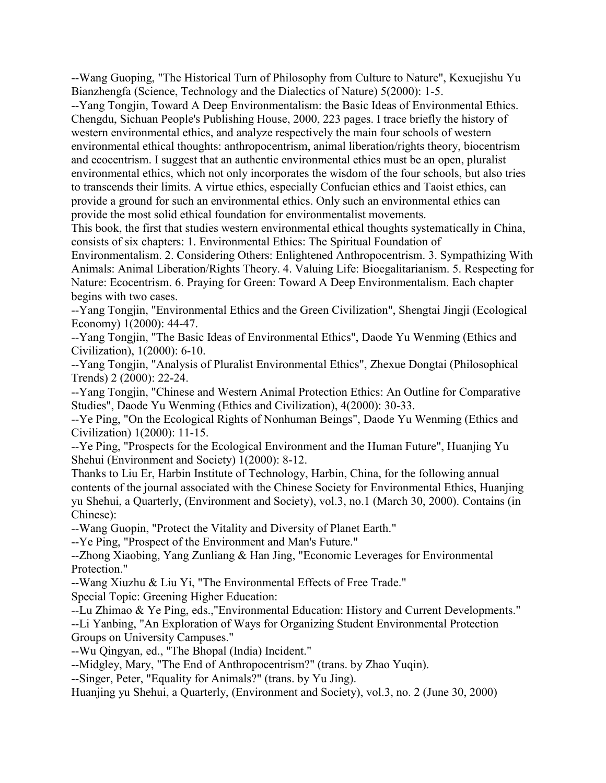--Wang Guoping, "The Historical Turn of Philosophy from Culture to Nature", Kexuejishu Yu Bianzhengfa (Science, Technology and the Dialectics of Nature) 5(2000): 1-5.

--Yang Tongjin, Toward A Deep Environmentalism: the Basic Ideas of Environmental Ethics. Chengdu, Sichuan People's Publishing House, 2000, 223 pages. I trace briefly the history of western environmental ethics, and analyze respectively the main four schools of western environmental ethical thoughts: anthropocentrism, animal liberation/rights theory, biocentrism and ecocentrism. I suggest that an authentic environmental ethics must be an open, pluralist environmental ethics, which not only incorporates the wisdom of the four schools, but also tries to transcends their limits. A virtue ethics, especially Confucian ethics and Taoist ethics, can provide a ground for such an environmental ethics. Only such an environmental ethics can provide the most solid ethical foundation for environmentalist movements.

This book, the first that studies western environmental ethical thoughts systematically in China, consists of six chapters: 1. Environmental Ethics: The Spiritual Foundation of

Environmentalism. 2. Considering Others: Enlightened Anthropocentrism. 3. Sympathizing With Animals: Animal Liberation/Rights Theory. 4. Valuing Life: Bioegalitarianism. 5. Respecting for Nature: Ecocentrism. 6. Praying for Green: Toward A Deep Environmentalism. Each chapter begins with two cases.

--Yang Tongjin, "Environmental Ethics and the Green Civilization", Shengtai Jingji (Ecological Economy) 1(2000): 44-47.

--Yang Tongjin, "The Basic Ideas of Environmental Ethics", Daode Yu Wenming (Ethics and Civilization), 1(2000): 6-10.

--Yang Tongjin, "Analysis of Pluralist Environmental Ethics", Zhexue Dongtai (Philosophical Trends) 2 (2000): 22-24.

--Yang Tongjin, "Chinese and Western Animal Protection Ethics: An Outline for Comparative Studies", Daode Yu Wenming (Ethics and Civilization), 4(2000): 30-33.

--Ye Ping, "On the Ecological Rights of Nonhuman Beings", Daode Yu Wenming (Ethics and Civilization) 1(2000): 11-15.

--Ye Ping, "Prospects for the Ecological Environment and the Human Future", Huanjing Yu Shehui (Environment and Society) 1(2000): 8-12.

Thanks to Liu Er, Harbin Institute of Technology, Harbin, China, for the following annual contents of the journal associated with the Chinese Society for Environmental Ethics, Huanjing yu Shehui, a Quarterly, (Environment and Society), vol.3, no.1 (March 30, 2000). Contains (in Chinese):

--Wang Guopin, "Protect the Vitality and Diversity of Planet Earth."

--Ye Ping, "Prospect of the Environment and Man's Future."

--Zhong Xiaobing, Yang Zunliang & Han Jing, "Economic Leverages for Environmental Protection."

--Wang Xiuzhu & Liu Yi, "The Environmental Effects of Free Trade."

Special Topic: Greening Higher Education:

--Lu Zhimao & Ye Ping, eds.,"Environmental Education: History and Current Developments." --Li Yanbing, "An Exploration of Ways for Organizing Student Environmental Protection Groups on University Campuses."

--Wu Qingyan, ed., "The Bhopal (India) Incident."

--Midgley, Mary, "The End of Anthropocentrism?" (trans. by Zhao Yuqin).

--Singer, Peter, "Equality for Animals?" (trans. by Yu Jing).

Huanjing yu Shehui, a Quarterly, (Environment and Society), vol.3, no. 2 (June 30, 2000)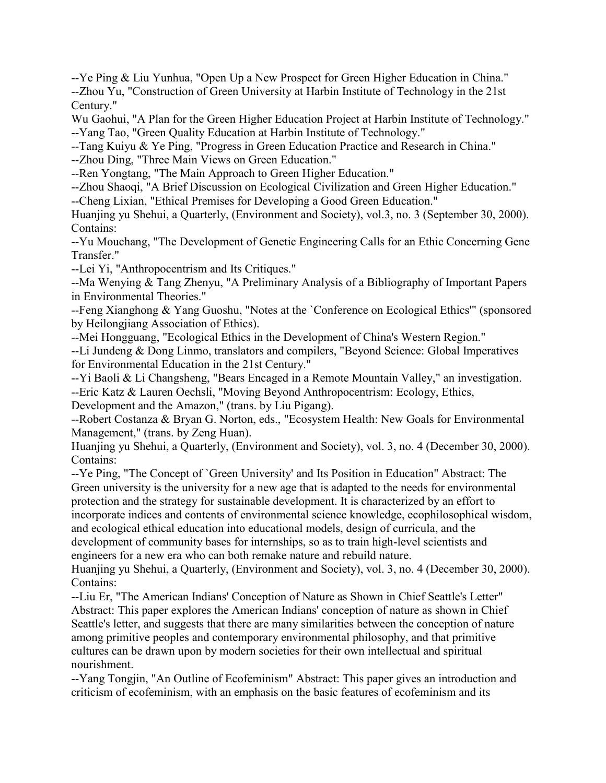--Ye Ping & Liu Yunhua, "Open Up a New Prospect for Green Higher Education in China." --Zhou Yu, "Construction of Green University at Harbin Institute of Technology in the 21st Century."

Wu Gaohui, "A Plan for the Green Higher Education Project at Harbin Institute of Technology." --Yang Tao, "Green Quality Education at Harbin Institute of Technology."

--Tang Kuiyu & Ye Ping, "Progress in Green Education Practice and Research in China."

--Zhou Ding, "Three Main Views on Green Education."

--Ren Yongtang, "The Main Approach to Green Higher Education."

--Zhou Shaoqi, "A Brief Discussion on Ecological Civilization and Green Higher Education."

--Cheng Lixian, "Ethical Premises for Developing a Good Green Education."

Huanjing yu Shehui, a Quarterly, (Environment and Society), vol.3, no. 3 (September 30, 2000). Contains:

--Yu Mouchang, "The Development of Genetic Engineering Calls for an Ethic Concerning Gene Transfer."

--Lei Yi, "Anthropocentrism and Its Critiques."

--Ma Wenying & Tang Zhenyu, "A Preliminary Analysis of a Bibliography of Important Papers in Environmental Theories."

--Feng Xianghong & Yang Guoshu, "Notes at the `Conference on Ecological Ethics'" (sponsored by Heilongjiang Association of Ethics).

--Mei Hongguang, "Ecological Ethics in the Development of China's Western Region." --Li Jundeng & Dong Linmo, translators and compilers, "Beyond Science: Global Imperatives for Environmental Education in the 21st Century."

--Yi Baoli & Li Changsheng, "Bears Encaged in a Remote Mountain Valley," an investigation. --Eric Katz & Lauren Oechsli, "Moving Beyond Anthropocentrism: Ecology, Ethics, Development and the Amazon," (trans. by Liu Pigang).

--Robert Costanza & Bryan G. Norton, eds., "Ecosystem Health: New Goals for Environmental Management," (trans. by Zeng Huan).

Huanjing yu Shehui, a Quarterly, (Environment and Society), vol. 3, no. 4 (December 30, 2000). Contains:

--Ye Ping, "The Concept of `Green University' and Its Position in Education" Abstract: The Green university is the university for a new age that is adapted to the needs for environmental protection and the strategy for sustainable development. It is characterized by an effort to incorporate indices and contents of environmental science knowledge, ecophilosophical wisdom, and ecological ethical education into educational models, design of curricula, and the development of community bases for internships, so as to train high-level scientists and engineers for a new era who can both remake nature and rebuild nature.

Huanjing yu Shehui, a Quarterly, (Environment and Society), vol. 3, no. 4 (December 30, 2000). Contains:

--Liu Er, "The American Indians' Conception of Nature as Shown in Chief Seattle's Letter" Abstract: This paper explores the American Indians' conception of nature as shown in Chief Seattle's letter, and suggests that there are many similarities between the conception of nature among primitive peoples and contemporary environmental philosophy, and that primitive cultures can be drawn upon by modern societies for their own intellectual and spiritual nourishment.

--Yang Tongjin, "An Outline of Ecofeminism" Abstract: This paper gives an introduction and criticism of ecofeminism, with an emphasis on the basic features of ecofeminism and its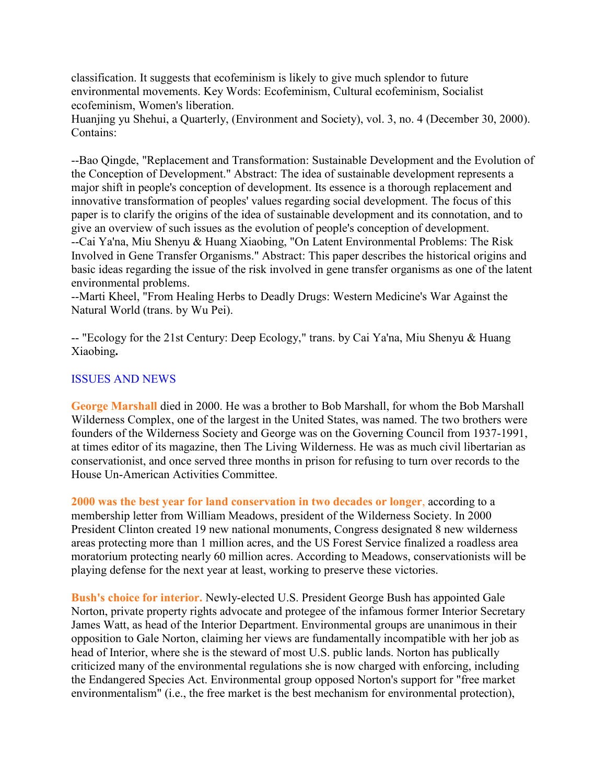classification. It suggests that ecofeminism is likely to give much splendor to future environmental movements. Key Words: Ecofeminism, Cultural ecofeminism, Socialist ecofeminism, Women's liberation.

Huanjing yu Shehui, a Quarterly, (Environment and Society), vol. 3, no. 4 (December 30, 2000). Contains:

--Bao Qingde, "Replacement and Transformation: Sustainable Development and the Evolution of the Conception of Development." Abstract: The idea of sustainable development represents a major shift in people's conception of development. Its essence is a thorough replacement and innovative transformation of peoples' values regarding social development. The focus of this paper is to clarify the origins of the idea of sustainable development and its connotation, and to give an overview of such issues as the evolution of people's conception of development. --Cai Ya'na, Miu Shenyu & Huang Xiaobing, "On Latent Environmental Problems: The Risk Involved in Gene Transfer Organisms." Abstract: This paper describes the historical origins and basic ideas regarding the issue of the risk involved in gene transfer organisms as one of the latent environmental problems.

--Marti Kheel, "From Healing Herbs to Deadly Drugs: Western Medicine's War Against the Natural World (trans. by Wu Pei).

-- "Ecology for the 21st Century: Deep Ecology," trans. by Cai Ya'na, Miu Shenyu & Huang Xiaobing**.**

#### ISSUES AND NEWS

**George Marshall** died in 2000. He was a brother to Bob Marshall, for whom the Bob Marshall Wilderness Complex, one of the largest in the United States, was named. The two brothers were founders of the Wilderness Society and George was on the Governing Council from 1937-1991, at times editor of its magazine, then The Living Wilderness. He was as much civil libertarian as conservationist, and once served three months in prison for refusing to turn over records to the House Un-American Activities Committee.

**2000 was the best year for land conservation in two decades or longer**, according to a membership letter from William Meadows, president of the Wilderness Society. In 2000 President Clinton created 19 new national monuments, Congress designated 8 new wilderness areas protecting more than 1 million acres, and the US Forest Service finalized a roadless area moratorium protecting nearly 60 million acres. According to Meadows, conservationists will be playing defense for the next year at least, working to preserve these victories.

**Bush's choice for interior.** Newly-elected U.S. President George Bush has appointed Gale Norton, private property rights advocate and protegee of the infamous former Interior Secretary James Watt, as head of the Interior Department. Environmental groups are unanimous in their opposition to Gale Norton, claiming her views are fundamentally incompatible with her job as head of Interior, where she is the steward of most U.S. public lands. Norton has publically criticized many of the environmental regulations she is now charged with enforcing, including the Endangered Species Act. Environmental group opposed Norton's support for "free market environmentalism" (i.e., the free market is the best mechanism for environmental protection),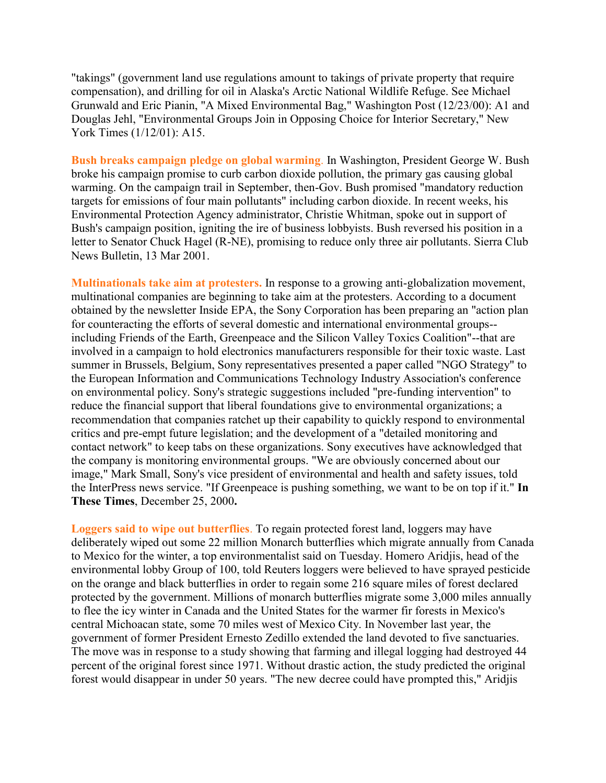"takings" (government land use regulations amount to takings of private property that require compensation), and drilling for oil in Alaska's Arctic National Wildlife Refuge. See Michael Grunwald and Eric Pianin, "A Mixed Environmental Bag," Washington Post (12/23/00): A1 and Douglas Jehl, "Environmental Groups Join in Opposing Choice for Interior Secretary," New York Times (1/12/01): A15.

**Bush breaks campaign pledge on global warming**. In Washington, President George W. Bush broke his campaign promise to curb carbon dioxide pollution, the primary gas causing global warming. On the campaign trail in September, then-Gov. Bush promised "mandatory reduction targets for emissions of four main pollutants" including carbon dioxide. In recent weeks, his Environmental Protection Agency administrator, Christie Whitman, spoke out in support of Bush's campaign position, igniting the ire of business lobbyists. Bush reversed his position in a letter to Senator Chuck Hagel (R-NE), promising to reduce only three air pollutants. Sierra Club News Bulletin, 13 Mar 2001.

**Multinationals take aim at protesters.** In response to a growing anti-globalization movement, multinational companies are beginning to take aim at the protesters. According to a document obtained by the newsletter Inside EPA, the Sony Corporation has been preparing an "action plan for counteracting the efforts of several domestic and international environmental groups- including Friends of the Earth, Greenpeace and the Silicon Valley Toxics Coalition"--that are involved in a campaign to hold electronics manufacturers responsible for their toxic waste. Last summer in Brussels, Belgium, Sony representatives presented a paper called "NGO Strategy" to the European Information and Communications Technology Industry Association's conference on environmental policy. Sony's strategic suggestions included "pre-funding intervention" to reduce the financial support that liberal foundations give to environmental organizations; a recommendation that companies ratchet up their capability to quickly respond to environmental critics and pre-empt future legislation; and the development of a "detailed monitoring and contact network" to keep tabs on these organizations. Sony executives have acknowledged that the company is monitoring environmental groups. "We are obviously concerned about our image," Mark Small, Sony's vice president of environmental and health and safety issues, told the InterPress news service. "If Greenpeace is pushing something, we want to be on top if it." **In These Times**, December 25, 2000**.**

**Loggers said to wipe out butterflies**. To regain protected forest land, loggers may have deliberately wiped out some 22 million Monarch butterflies which migrate annually from Canada to Mexico for the winter, a top environmentalist said on Tuesday. Homero Aridjis, head of the environmental lobby Group of 100, told Reuters loggers were believed to have sprayed pesticide on the orange and black butterflies in order to regain some 216 square miles of forest declared protected by the government. Millions of monarch butterflies migrate some 3,000 miles annually to flee the icy winter in Canada and the United States for the warmer fir forests in Mexico's central Michoacan state, some 70 miles west of Mexico City. In November last year, the government of former President Ernesto Zedillo extended the land devoted to five sanctuaries. The move was in response to a study showing that farming and illegal logging had destroyed 44 percent of the original forest since 1971. Without drastic action, the study predicted the original forest would disappear in under 50 years. "The new decree could have prompted this," Aridjis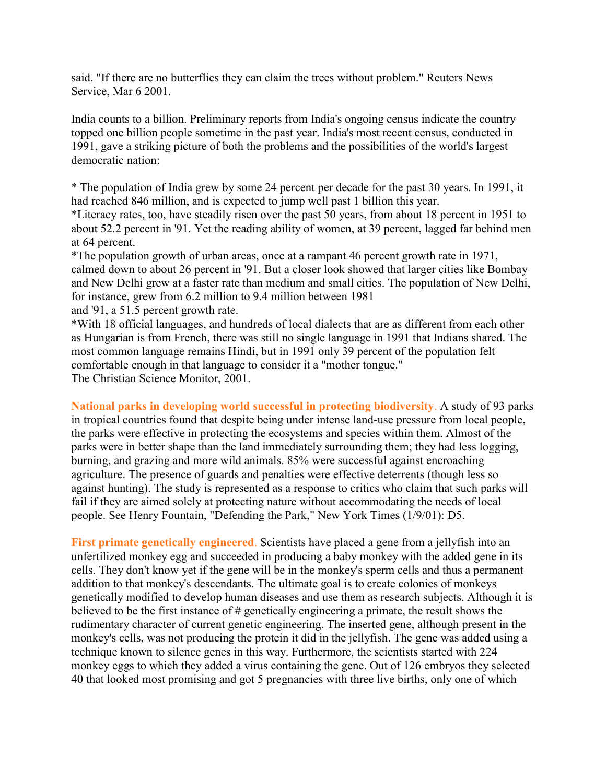said. "If there are no butterflies they can claim the trees without problem." Reuters News Service, Mar 6 2001.

India counts to a billion. Preliminary reports from India's ongoing census indicate the country topped one billion people sometime in the past year. India's most recent census, conducted in 1991, gave a striking picture of both the problems and the possibilities of the world's largest democratic nation:

\* The population of India grew by some 24 percent per decade for the past 30 years. In 1991, it had reached 846 million, and is expected to jump well past 1 billion this year.

\*Literacy rates, too, have steadily risen over the past 50 years, from about 18 percent in 1951 to about 52.2 percent in '91. Yet the reading ability of women, at 39 percent, lagged far behind men at 64 percent.

\*The population growth of urban areas, once at a rampant 46 percent growth rate in 1971, calmed down to about 26 percent in '91. But a closer look showed that larger cities like Bombay and New Delhi grew at a faster rate than medium and small cities. The population of New Delhi, for instance, grew from 6.2 million to 9.4 million between 1981

and '91, a 51.5 percent growth rate.

\*With 18 official languages, and hundreds of local dialects that are as different from each other as Hungarian is from French, there was still no single language in 1991 that Indians shared. The most common language remains Hindi, but in 1991 only 39 percent of the population felt comfortable enough in that language to consider it a "mother tongue." The Christian Science Monitor, 2001.

**National parks in developing world successful in protecting biodiversity**. A study of 93 parks in tropical countries found that despite being under intense land-use pressure from local people, the parks were effective in protecting the ecosystems and species within them. Almost of the parks were in better shape than the land immediately surrounding them; they had less logging, burning, and grazing and more wild animals. 85% were successful against encroaching agriculture. The presence of guards and penalties were effective deterrents (though less so against hunting). The study is represented as a response to critics who claim that such parks will fail if they are aimed solely at protecting nature without accommodating the needs of local people. See Henry Fountain, "Defending the Park," New York Times (1/9/01): D5.

**First primate genetically engineered**. Scientists have placed a gene from a jellyfish into an unfertilized monkey egg and succeeded in producing a baby monkey with the added gene in its cells. They don't know yet if the gene will be in the monkey's sperm cells and thus a permanent addition to that monkey's descendants. The ultimate goal is to create colonies of monkeys genetically modified to develop human diseases and use them as research subjects. Although it is believed to be the first instance of # genetically engineering a primate, the result shows the rudimentary character of current genetic engineering. The inserted gene, although present in the monkey's cells, was not producing the protein it did in the jellyfish. The gene was added using a technique known to silence genes in this way. Furthermore, the scientists started with 224 monkey eggs to which they added a virus containing the gene. Out of 126 embryos they selected 40 that looked most promising and got 5 pregnancies with three live births, only one of which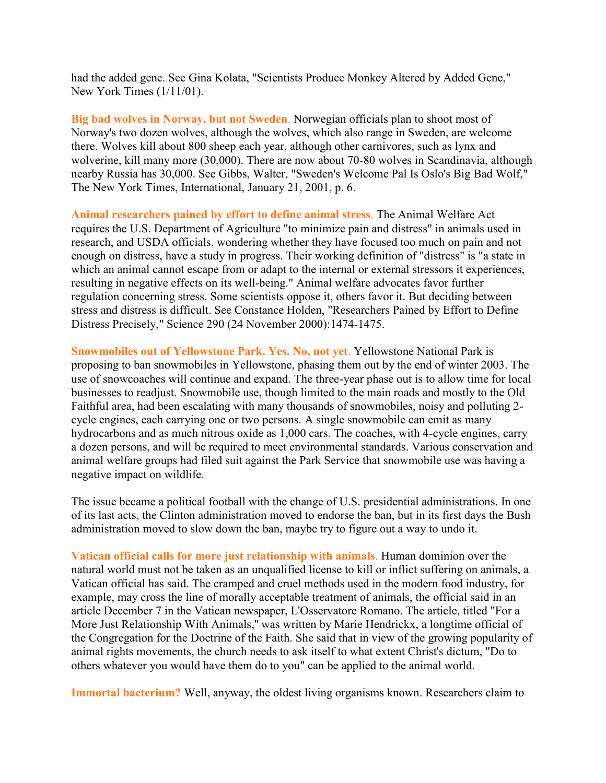had the added gene. See Gina Kolata, "Scientists Produce Monkey Altered by Added Gene," New York Times (1/11/01).

**Big bad wolves in Norway, but not Sweden**. Norwegian officials plan to shoot most of Norway's two dozen wolves, although the wolves, which also range in Sweden, are welcome there. Wolves kill about 800 sheep each year, although other carnivores, such as lynx and wolverine, kill many more (30,000). There are now about 70-80 wolves in Scandinavia, although nearby Russia has 30,000. See Gibbs, Walter, "Sweden's Welcome Pal Is Oslo's Big Bad Wolf," The New York Times, International, January 21, 2001, p. 6.

**Animal researchers pained by effort to define animal stress**. The Animal Welfare Act requires the U.S. Department of Agriculture "to minimize pain and distress" in animals used in research, and USDA officials, wondering whether they have focused too much on pain and not enough on distress, have a study in progress. Their working definition of "distress" is "a state in which an animal cannot escape from or adapt to the internal or external stressors it experiences, resulting in negative effects on its well-being." Animal welfare advocates favor further regulation concerning stress. Some scientists oppose it, others favor it. But deciding between stress and distress is difficult. See Constance Holden, "Researchers Pained by Effort to Define Distress Precisely," Science 290 (24 November 2000):1474-1475.

**Snowmobiles out of Yellowstone Park. Yes. No, not yet**. Yellowstone National Park is proposing to ban snowmobiles in Yellowstone, phasing them out by the end of winter 2003. The use of snowcoaches will continue and expand. The three-year phase out is to allow time for local businesses to readjust. Snowmobile use, though limited to the main roads and mostly to the Old Faithful area, had been escalating with many thousands of snowmobiles, noisy and polluting 2 cycle engines, each carrying one or two persons. A single snowmobile can emit as many hydrocarbons and as much nitrous oxide as 1,000 cars. The coaches, with 4-cycle engines, carry a dozen persons, and will be required to meet environmental standards. Various conservation and animal welfare groups had filed suit against the Park Service that snowmobile use was having a negative impact on wildlife.

The issue became a political football with the change of U.S. presidential administrations. In one of its last acts, the Clinton administration moved to endorse the ban, but in its first days the Bush administration moved to slow down the ban, maybe try to figure out a way to undo it.

**Vatican official calls for more just relationship with animals**. Human dominion over the natural world must not be taken as an unqualified license to kill or inflict suffering on animals, a Vatican official has said. The cramped and cruel methods used in the modern food industry, for example, may cross the line of morally acceptable treatment of animals, the official said in an article December 7 in the Vatican newspaper, L'Osservatore Romano. The article, titled "For a More Just Relationship With Animals,'' was written by Marie Hendrickx, a longtime official of the Congregation for the Doctrine of the Faith. She said that in view of the growing popularity of animal rights movements, the church needs to ask itself to what extent Christ's dictum, "Do to others whatever you would have them do to you" can be applied to the animal world.

**Immortal bacterium?** Well, anyway, the oldest living organisms known. Researchers claim to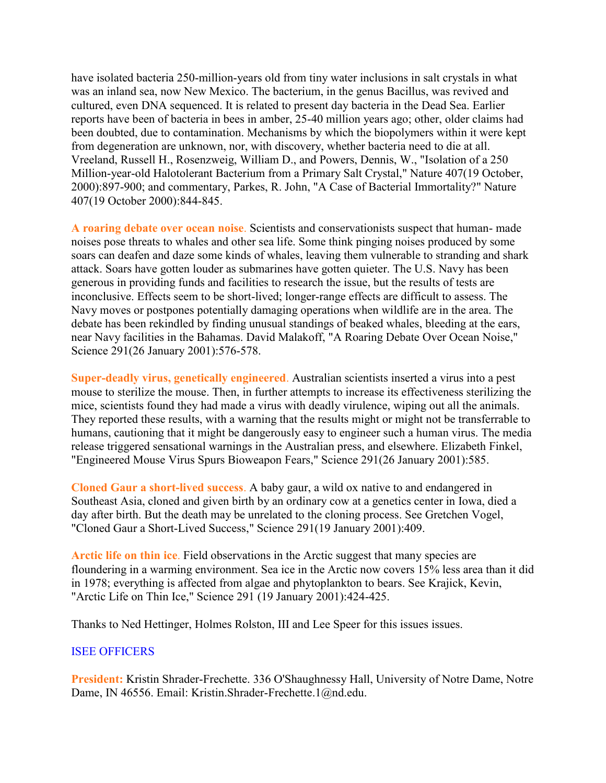have isolated bacteria 250-million-years old from tiny water inclusions in salt crystals in what was an inland sea, now New Mexico. The bacterium, in the genus Bacillus, was revived and cultured, even DNA sequenced. It is related to present day bacteria in the Dead Sea. Earlier reports have been of bacteria in bees in amber, 25-40 million years ago; other, older claims had been doubted, due to contamination. Mechanisms by which the biopolymers within it were kept from degeneration are unknown, nor, with discovery, whether bacteria need to die at all. Vreeland, Russell H., Rosenzweig, William D., and Powers, Dennis, W., "Isolation of a 250 Million-year-old Halotolerant Bacterium from a Primary Salt Crystal," Nature 407(19 October, 2000):897-900; and commentary, Parkes, R. John, "A Case of Bacterial Immortality?" Nature 407(19 October 2000):844-845.

**A roaring debate over ocean noise**. Scientists and conservationists suspect that human- made noises pose threats to whales and other sea life. Some think pinging noises produced by some soars can deafen and daze some kinds of whales, leaving them vulnerable to stranding and shark attack. Soars have gotten louder as submarines have gotten quieter. The U.S. Navy has been generous in providing funds and facilities to research the issue, but the results of tests are inconclusive. Effects seem to be short-lived; longer-range effects are difficult to assess. The Navy moves or postpones potentially damaging operations when wildlife are in the area. The debate has been rekindled by finding unusual standings of beaked whales, bleeding at the ears, near Navy facilities in the Bahamas. David Malakoff, "A Roaring Debate Over Ocean Noise," Science 291(26 January 2001):576-578.

**Super-deadly virus, genetically engineered**. Australian scientists inserted a virus into a pest mouse to sterilize the mouse. Then, in further attempts to increase its effectiveness sterilizing the mice, scientists found they had made a virus with deadly virulence, wiping out all the animals. They reported these results, with a warning that the results might or might not be transferrable to humans, cautioning that it might be dangerously easy to engineer such a human virus. The media release triggered sensational warnings in the Australian press, and elsewhere. Elizabeth Finkel, "Engineered Mouse Virus Spurs Bioweapon Fears," Science 291(26 January 2001):585.

**Cloned Gaur a short-lived success**. A baby gaur, a wild ox native to and endangered in Southeast Asia, cloned and given birth by an ordinary cow at a genetics center in Iowa, died a day after birth. But the death may be unrelated to the cloning process. See Gretchen Vogel, "Cloned Gaur a Short-Lived Success," Science 291(19 January 2001):409.

**Arctic life on thin ice**. Field observations in the Arctic suggest that many species are floundering in a warming environment. Sea ice in the Arctic now covers 15% less area than it did in 1978; everything is affected from algae and phytoplankton to bears. See Krajick, Kevin, "Arctic Life on Thin Ice," Science 291 (19 January 2001):424-425.

Thanks to Ned Hettinger, Holmes Rolston, III and Lee Speer for this issues issues.

#### ISEE OFFICERS

**President:** Kristin Shrader-Frechette. 336 O'Shaughnessy Hall, University of Notre Dame, Notre Dame, IN 46556. Email: Kristin.Shrader-Frechette.1@nd.edu.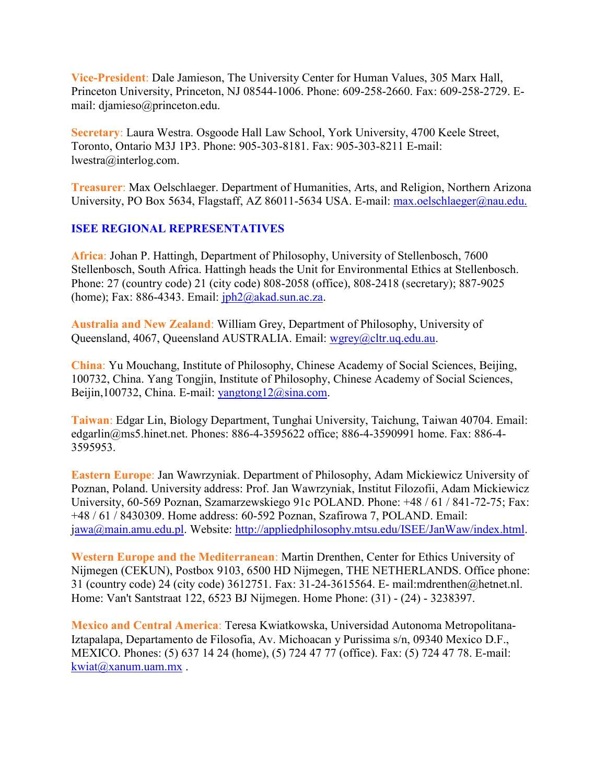**Vice-President**: Dale Jamieson, The University Center for Human Values, 305 Marx Hall, Princeton University, Princeton, NJ 08544-1006. Phone: 609-258-2660. Fax: 609-258-2729. Email: djamieso@princeton.edu.

**Secretary**: Laura Westra. Osgoode Hall Law School, York University, 4700 Keele Street, Toronto, Ontario M3J 1P3. Phone: 905-303-8181. Fax: 905-303-8211 E-mail: lwestra@interlog.com.

**Treasurer**: Max Oelschlaeger. Department of Humanities, Arts, and Religion, Northern Arizona University, PO Box 5634, Flagstaff, AZ 86011-5634 USA. E-mail: [max.oelschlaeger@nau.edu.](mailto:max.oelschlaeger@nau.edu.)

# **ISEE REGIONAL REPRESENTATIVES**

**Africa**: Johan P. Hattingh, Department of Philosophy, University of Stellenbosch, 7600 Stellenbosch, South Africa. Hattingh heads the Unit for Environmental Ethics at Stellenbosch. Phone: 27 (country code) 21 (city code) 808-2058 (office), 808-2418 (secretary); 887-9025 (home); Fax: 886-4343. Email:  $iph2@akad.sum.ac.za$ .

**Australia and New Zealand**: William Grey, Department of Philosophy, University of Queensland, 4067, Queensland AUSTRALIA. Email: [wgrey@cltr.uq.edu.au.](mailto:wgrey@cltr.uq.edu.au)

**China**: Yu Mouchang, Institute of Philosophy, Chinese Academy of Social Sciences, Beijing, 100732, China. Yang Tongjin, Institute of Philosophy, Chinese Academy of Social Sciences, Beijin,100732, China. E-mail: [yangtong12@sina.com.](mailto:yangtong12@sina.com)

**Taiwan**: Edgar Lin, Biology Department, Tunghai University, Taichung, Taiwan 40704. Email: edgarlin@ms5.hinet.net. Phones: 886-4-3595622 office; 886-4-3590991 home. Fax: 886-4- 3595953.

**Eastern Europe**: Jan Wawrzyniak. Department of Philosophy, Adam Mickiewicz University of Poznan, Poland. University address: Prof. Jan Wawrzyniak, Institut Filozofii, Adam Mickiewicz University, 60-569 Poznan, Szamarzewskiego 91c POLAND. Phone: +48 / 61 / 841-72-75; Fax: +48 / 61 / 8430309. Home address: 60-592 Poznan, Szafirowa 7, POLAND. Email: [jawa@main.amu.edu.pl.](mailto:awa@main.amu.edu.pl) Website: [http://appliedphilosophy.mtsu.edu/ISEE/JanWaw/index.html.](http://appliedphilosophy.mtsu.edu/ISEE/JanWaw/index.html)

**Western Europe and the Mediterranean**: Martin Drenthen, Center for Ethics University of Nijmegen (CEKUN), Postbox 9103, 6500 HD Nijmegen, THE NETHERLANDS. Office phone: 31 (country code) 24 (city code) 3612751. Fax: 31-24-3615564. E- mail:mdrenthen@hetnet.nl. Home: Van't Santstraat 122, 6523 BJ Nijmegen. Home Phone: (31) - (24) - 3238397.

**Mexico and Central America**: Teresa Kwiatkowska, Universidad Autonoma Metropolitana-Iztapalapa, Departamento de Filosofia, Av. Michoacan y Purissima s/n, 09340 Mexico D.F., MEXICO. Phones: (5) 637 14 24 (home), (5) 724 47 77 (office). Fax: (5) 724 47 78. E-mail: [kwiat@xanum.uam.mx](mailto:kwiat@xanum.uam.mx) .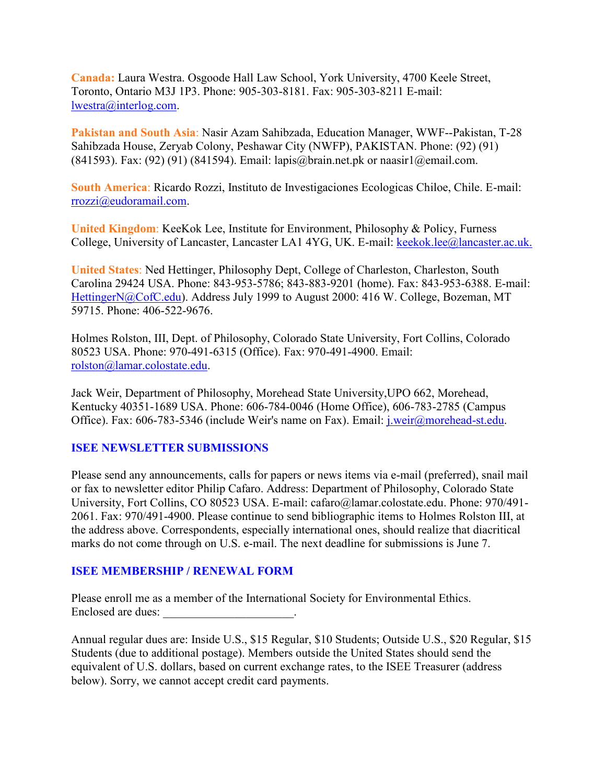**Canada:** Laura Westra. Osgoode Hall Law School, York University, 4700 Keele Street, Toronto, Ontario M3J 1P3. Phone: 905-303-8181. Fax: 905-303-8211 E-mail: [lwestra@interlog.com.](mailto:lwestra@interlog.com)

**Pakistan and South Asia**: Nasir Azam Sahibzada, Education Manager, WWF--Pakistan, T-28 Sahibzada House, Zeryab Colony, Peshawar City (NWFP), PAKISTAN. Phone: (92) (91) (841593). Fax: (92) (91) (841594). Email: lapis@brain.net.pk or naasir1@email.com.

**South America**: Ricardo Rozzi, Instituto de Investigaciones Ecologicas Chiloe, Chile. E-mail: [rrozzi@eudoramail.com.](mailto:rrozzi@eudoramail.com)

**United Kingdom**: KeeKok Lee, Institute for Environment, Philosophy & Policy, Furness College, University of Lancaster, Lancaster LA1 4YG, UK. E-mail: [keekok.lee@lancaster.ac.uk.](mailto:keekok.lee@lancaster.ac.uk.)

**United States**: Ned Hettinger, Philosophy Dept, College of Charleston, Charleston, South Carolina 29424 USA. Phone: 843-953-5786; 843-883-9201 (home). Fax: 843-953-6388. E-mail: [HettingerN@CofC.edu\)](mailto:HettingerN@CofC.edu). Address July 1999 to August 2000: 416 W. College, Bozeman, MT 59715. Phone: 406-522-9676.

Holmes Rolston, III, Dept. of Philosophy, Colorado State University, Fort Collins, Colorado 80523 USA. Phone: 970-491-6315 (Office). Fax: 970-491-4900. Email: [rolston@lamar.colostate.edu.](mailto:rolston@lamar.colostate.edu)

Jack Weir, Department of Philosophy, Morehead State University,UPO 662, Morehead, Kentucky 40351-1689 USA. Phone: 606-784-0046 (Home Office), 606-783-2785 (Campus Office). Fax: 606-783-5346 (include Weir's name on Fax). Email: [j.weir@morehead-st.edu.](mailto:j.weir@morehead-st.edu)

# **ISEE NEWSLETTER SUBMISSIONS**

Please send any announcements, calls for papers or news items via e-mail (preferred), snail mail or fax to newsletter editor Philip Cafaro. Address: Department of Philosophy, Colorado State University, Fort Collins, CO 80523 USA. E-mail: cafaro@lamar.colostate.edu. Phone: 970/491- 2061. Fax: 970/491-4900. Please continue to send bibliographic items to Holmes Rolston III, at the address above. Correspondents, especially international ones, should realize that diacritical marks do not come through on U.S. e-mail. The next deadline for submissions is June 7.

#### **ISEE MEMBERSHIP / RENEWAL FORM**

Please enroll me as a member of the International Society for Environmental Ethics. Enclosed are dues:

Annual regular dues are: Inside U.S., \$15 Regular, \$10 Students; Outside U.S., \$20 Regular, \$15 Students (due to additional postage). Members outside the United States should send the equivalent of U.S. dollars, based on current exchange rates, to the ISEE Treasurer (address below). Sorry, we cannot accept credit card payments.